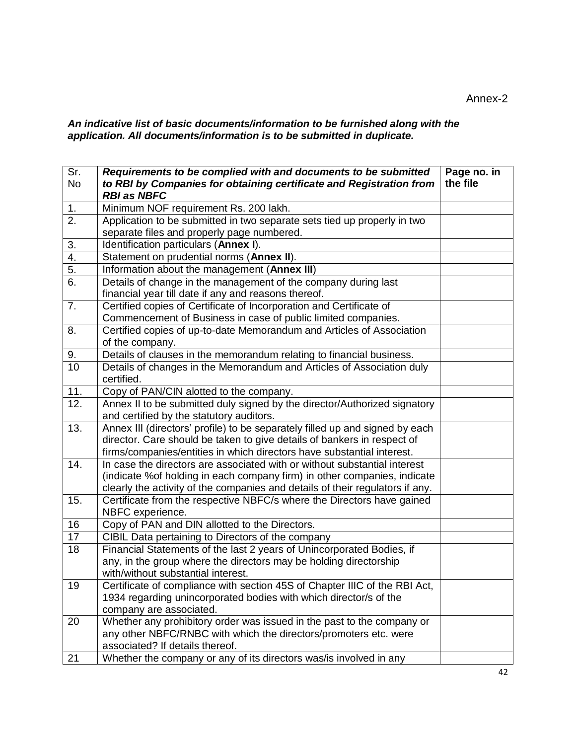*An indicative list of basic documents/information to be furnished along with the application. All documents/information is to be submitted in duplicate.* 

| Sr.<br><b>No</b> | Requirements to be complied with and documents to be submitted<br>to RBI by Companies for obtaining certificate and Registration from<br><b>RBI as NBFC</b> | Page no. in<br>the file |
|------------------|-------------------------------------------------------------------------------------------------------------------------------------------------------------|-------------------------|
| 1.               | Minimum NOF requirement Rs. 200 lakh.                                                                                                                       |                         |
| 2.               | Application to be submitted in two separate sets tied up properly in two                                                                                    |                         |
|                  | separate files and properly page numbered.                                                                                                                  |                         |
| 3.               | Identification particulars (Annex I).                                                                                                                       |                         |
| 4.               | Statement on prudential norms (Annex II).                                                                                                                   |                         |
| 5.               | Information about the management (Annex III)                                                                                                                |                         |
| 6.               | Details of change in the management of the company during last                                                                                              |                         |
|                  | financial year till date if any and reasons thereof.                                                                                                        |                         |
| 7.               | Certified copies of Certificate of Incorporation and Certificate of                                                                                         |                         |
|                  | Commencement of Business in case of public limited companies.                                                                                               |                         |
| 8.               | Certified copies of up-to-date Memorandum and Articles of Association                                                                                       |                         |
|                  | of the company.                                                                                                                                             |                         |
| 9.               | Details of clauses in the memorandum relating to financial business.                                                                                        |                         |
| 10               | Details of changes in the Memorandum and Articles of Association duly                                                                                       |                         |
|                  | certified.                                                                                                                                                  |                         |
| 11.              | Copy of PAN/CIN alotted to the company.                                                                                                                     |                         |
| 12.              | Annex II to be submitted duly signed by the director/Authorized signatory                                                                                   |                         |
|                  | and certified by the statutory auditors.                                                                                                                    |                         |
| 13.              | Annex III (directors' profile) to be separately filled up and signed by each                                                                                |                         |
|                  | director. Care should be taken to give details of bankers in respect of                                                                                     |                         |
|                  | firms/companies/entities in which directors have substantial interest.                                                                                      |                         |
| 14.              | In case the directors are associated with or without substantial interest                                                                                   |                         |
|                  | (indicate % of holding in each company firm) in other companies, indicate                                                                                   |                         |
|                  | clearly the activity of the companies and details of their regulators if any.                                                                               |                         |
| 15.              | Certificate from the respective NBFC/s where the Directors have gained                                                                                      |                         |
| 16               | NBFC experience.<br>Copy of PAN and DIN allotted to the Directors.                                                                                          |                         |
| 17               |                                                                                                                                                             |                         |
| 18               | CIBIL Data pertaining to Directors of the company<br>Financial Statements of the last 2 years of Unincorporated Bodies, if                                  |                         |
|                  | any, in the group where the directors may be holding directorship                                                                                           |                         |
|                  | with/without substantial interest.                                                                                                                          |                         |
| 19               | Certificate of compliance with section 45S of Chapter IIIC of the RBI Act,                                                                                  |                         |
|                  | 1934 regarding unincorporated bodies with which director/s of the                                                                                           |                         |
|                  | company are associated.                                                                                                                                     |                         |
| 20               | Whether any prohibitory order was issued in the past to the company or                                                                                      |                         |
|                  | any other NBFC/RNBC with which the directors/promoters etc. were                                                                                            |                         |
|                  | associated? If details thereof.                                                                                                                             |                         |
| 21               | Whether the company or any of its directors was/is involved in any                                                                                          |                         |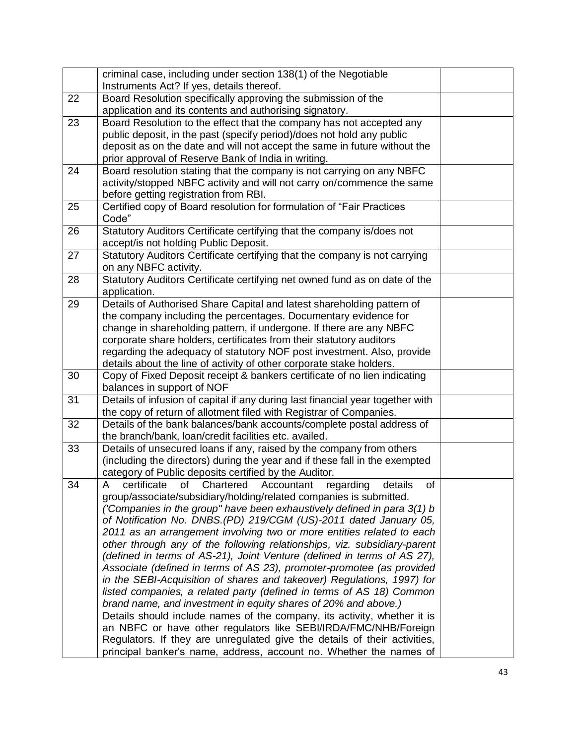|    | criminal case, including under section 138(1) of the Negotiable                                                                |  |
|----|--------------------------------------------------------------------------------------------------------------------------------|--|
|    | Instruments Act? If yes, details thereof.                                                                                      |  |
| 22 | Board Resolution specifically approving the submission of the                                                                  |  |
|    | application and its contents and authorising signatory.                                                                        |  |
| 23 | Board Resolution to the effect that the company has not accepted any                                                           |  |
|    | public deposit, in the past (specify period)/does not hold any public                                                          |  |
|    | deposit as on the date and will not accept the same in future without the                                                      |  |
|    | prior approval of Reserve Bank of India in writing.                                                                            |  |
| 24 | Board resolution stating that the company is not carrying on any NBFC                                                          |  |
|    | activity/stopped NBFC activity and will not carry on/commence the same                                                         |  |
|    | before getting registration from RBI.                                                                                          |  |
| 25 | Certified copy of Board resolution for formulation of "Fair Practices                                                          |  |
|    | Code"                                                                                                                          |  |
| 26 | Statutory Auditors Certificate certifying that the company is/does not                                                         |  |
| 27 | accept/is not holding Public Deposit.<br>Statutory Auditors Certificate certifying that the company is not carrying            |  |
|    | on any NBFC activity.                                                                                                          |  |
| 28 | Statutory Auditors Certificate certifying net owned fund as on date of the                                                     |  |
|    | application.                                                                                                                   |  |
| 29 | Details of Authorised Share Capital and latest shareholding pattern of                                                         |  |
|    | the company including the percentages. Documentary evidence for                                                                |  |
|    | change in shareholding pattern, if undergone. If there are any NBFC                                                            |  |
|    | corporate share holders, certificates from their statutory auditors                                                            |  |
|    | regarding the adequacy of statutory NOF post investment. Also, provide                                                         |  |
|    | details about the line of activity of other corporate stake holders.                                                           |  |
| 30 | Copy of Fixed Deposit receipt & bankers certificate of no lien indicating                                                      |  |
|    | balances in support of NOF                                                                                                     |  |
| 31 | Details of infusion of capital if any during last financial year together with                                                 |  |
|    | the copy of return of allotment filed with Registrar of Companies.                                                             |  |
| 32 | Details of the bank balances/bank accounts/complete postal address of<br>the branch/bank, loan/credit facilities etc. availed. |  |
| 33 | Details of unsecured loans if any, raised by the company from others                                                           |  |
|    | (including the directors) during the year and if these fall in the exempted                                                    |  |
|    | category of Public deposits certified by the Auditor.                                                                          |  |
| 34 | certificate of<br>Chartered<br>regarding<br>details<br>Accountant<br>of<br>A                                                   |  |
|    | group/associate/subsidiary/holding/related companies is submitted.                                                             |  |
|    | ('Companies in the group" have been exhaustively defined in para 3(1) b                                                        |  |
|    | of Notification No. DNBS.(PD) 219/CGM (US)-2011 dated January 05,                                                              |  |
|    | 2011 as an arrangement involving two or more entities related to each                                                          |  |
|    | other through any of the following relationships, viz. subsidiary-parent                                                       |  |
|    | (defined in terms of AS-21), Joint Venture (defined in terms of AS 27),                                                        |  |
|    | Associate (defined in terms of AS 23), promoter-promotee (as provided                                                          |  |
|    | in the SEBI-Acquisition of shares and takeover) Regulations, 1997) for                                                         |  |
|    | listed companies, a related party (defined in terms of AS 18) Common                                                           |  |
|    | brand name, and investment in equity shares of 20% and above.)                                                                 |  |
|    | Details should include names of the company, its activity, whether it is                                                       |  |
|    | an NBFC or have other regulators like SEBI/IRDA/FMC/NHB/Foreign                                                                |  |
|    | Regulators. If they are unregulated give the details of their activities,                                                      |  |
|    | principal banker's name, address, account no. Whether the names of                                                             |  |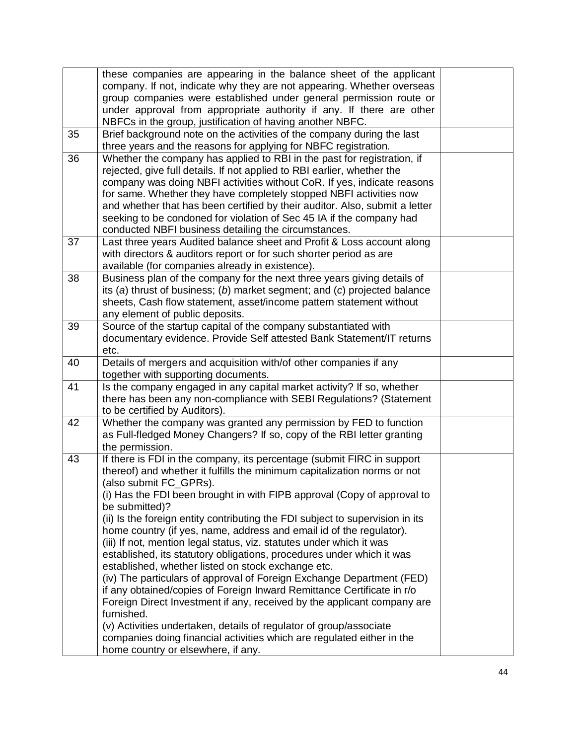|    | these companies are appearing in the balance sheet of the applicant           |  |
|----|-------------------------------------------------------------------------------|--|
|    | company. If not, indicate why they are not appearing. Whether overseas        |  |
|    | group companies were established under general permission route or            |  |
|    | under approval from appropriate authority if any. If there are other          |  |
|    | NBFCs in the group, justification of having another NBFC.                     |  |
| 35 | Brief background note on the activities of the company during the last        |  |
|    | three years and the reasons for applying for NBFC registration.               |  |
| 36 | Whether the company has applied to RBI in the past for registration, if       |  |
|    | rejected, give full details. If not applied to RBI earlier, whether the       |  |
|    | company was doing NBFI activities without CoR. If yes, indicate reasons       |  |
|    | for same. Whether they have completely stopped NBFI activities now            |  |
|    | and whether that has been certified by their auditor. Also, submit a letter   |  |
|    | seeking to be condoned for violation of Sec 45 IA if the company had          |  |
|    | conducted NBFI business detailing the circumstances.                          |  |
| 37 | Last three years Audited balance sheet and Profit & Loss account along        |  |
|    | with directors & auditors report or for such shorter period as are            |  |
|    | available (for companies already in existence).                               |  |
| 38 | Business plan of the company for the next three years giving details of       |  |
|    | its (a) thrust of business; (b) market segment; and (c) projected balance     |  |
|    | sheets, Cash flow statement, asset/income pattern statement without           |  |
|    | any element of public deposits.                                               |  |
| 39 | Source of the startup capital of the company substantiated with               |  |
|    | documentary evidence. Provide Self attested Bank Statement/IT returns         |  |
|    | etc.                                                                          |  |
| 40 | Details of mergers and acquisition with/of other companies if any             |  |
|    | together with supporting documents.                                           |  |
| 41 | Is the company engaged in any capital market activity? If so, whether         |  |
|    | there has been any non-compliance with SEBI Regulations? (Statement           |  |
|    | to be certified by Auditors).                                                 |  |
| 42 | Whether the company was granted any permission by FED to function             |  |
|    | as Full-fledged Money Changers? If so, copy of the RBI letter granting        |  |
|    | the permission.                                                               |  |
| 43 | If there is FDI in the company, its percentage (submit FIRC in support        |  |
|    | thereof) and whether it fulfills the minimum capitalization norms or not      |  |
|    | (also submit FC GPRs).                                                        |  |
|    | (i) Has the FDI been brought in with FIPB approval (Copy of approval to       |  |
|    | be submitted)?                                                                |  |
|    | (ii) Is the foreign entity contributing the FDI subject to supervision in its |  |
|    | home country (if yes, name, address and email id of the regulator).           |  |
|    | (iii) If not, mention legal status, viz. statutes under which it was          |  |
|    | established, its statutory obligations, procedures under which it was         |  |
|    | established, whether listed on stock exchange etc.                            |  |
|    | (iv) The particulars of approval of Foreign Exchange Department (FED)         |  |
|    | if any obtained/copies of Foreign Inward Remittance Certificate in r/o        |  |
|    | Foreign Direct Investment if any, received by the applicant company are       |  |
|    | furnished.                                                                    |  |
|    | (v) Activities undertaken, details of regulator of group/associate            |  |
|    | companies doing financial activities which are regulated either in the        |  |
|    | home country or elsewhere, if any.                                            |  |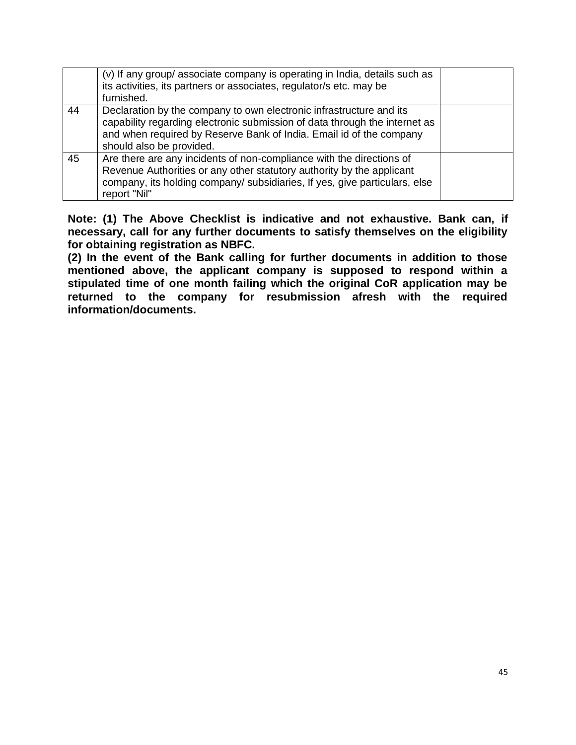|    | (v) If any group/ associate company is operating in India, details such as<br>its activities, its partners or associates, regulator/s etc. may be<br>furnished.                                                                                      |  |
|----|------------------------------------------------------------------------------------------------------------------------------------------------------------------------------------------------------------------------------------------------------|--|
| 44 | Declaration by the company to own electronic infrastructure and its<br>capability regarding electronic submission of data through the internet as<br>and when required by Reserve Bank of India. Email id of the company<br>should also be provided. |  |
| 45 | Are there are any incidents of non-compliance with the directions of<br>Revenue Authorities or any other statutory authority by the applicant<br>company, its holding company/ subsidiaries, If yes, give particulars, else<br>report "Nil"          |  |

**Note: (1) The Above Checklist is indicative and not exhaustive. Bank can, if necessary, call for any further documents to satisfy themselves on the eligibility for obtaining registration as NBFC.** 

**(2) In the event of the Bank calling for further documents in addition to those mentioned above, the applicant company is supposed to respond within a stipulated time of one month failing which the original CoR application may be returned to the company for resubmission afresh with the required information/documents.**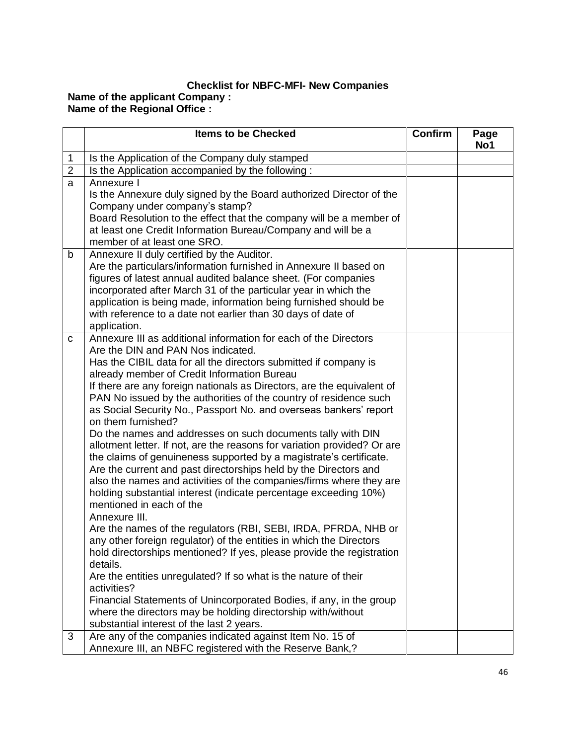## **Checklist for NBFC-MFI- New Companies Name of the applicant Company : Name of the Regional Office :**

|                | <b>Items to be Checked</b>                                                                                                                                                                                                                                                                                                                                                                                                                                                                                                                                                                                                                                                                                                                                                                                                                                                                                                                                                                                                                                                                                                                                                                                                                                                                                                                                                                                                                            | <b>Confirm</b> | Page<br>No1 |
|----------------|-------------------------------------------------------------------------------------------------------------------------------------------------------------------------------------------------------------------------------------------------------------------------------------------------------------------------------------------------------------------------------------------------------------------------------------------------------------------------------------------------------------------------------------------------------------------------------------------------------------------------------------------------------------------------------------------------------------------------------------------------------------------------------------------------------------------------------------------------------------------------------------------------------------------------------------------------------------------------------------------------------------------------------------------------------------------------------------------------------------------------------------------------------------------------------------------------------------------------------------------------------------------------------------------------------------------------------------------------------------------------------------------------------------------------------------------------------|----------------|-------------|
| 1              | Is the Application of the Company duly stamped                                                                                                                                                                                                                                                                                                                                                                                                                                                                                                                                                                                                                                                                                                                                                                                                                                                                                                                                                                                                                                                                                                                                                                                                                                                                                                                                                                                                        |                |             |
| $\overline{2}$ | Is the Application accompanied by the following:                                                                                                                                                                                                                                                                                                                                                                                                                                                                                                                                                                                                                                                                                                                                                                                                                                                                                                                                                                                                                                                                                                                                                                                                                                                                                                                                                                                                      |                |             |
| a              | Annexure I<br>Is the Annexure duly signed by the Board authorized Director of the<br>Company under company's stamp?<br>Board Resolution to the effect that the company will be a member of<br>at least one Credit Information Bureau/Company and will be a<br>member of at least one SRO.                                                                                                                                                                                                                                                                                                                                                                                                                                                                                                                                                                                                                                                                                                                                                                                                                                                                                                                                                                                                                                                                                                                                                             |                |             |
| b              | Annexure II duly certified by the Auditor.<br>Are the particulars/information furnished in Annexure II based on<br>figures of latest annual audited balance sheet. (For companies<br>incorporated after March 31 of the particular year in which the<br>application is being made, information being furnished should be<br>with reference to a date not earlier than 30 days of date of<br>application.                                                                                                                                                                                                                                                                                                                                                                                                                                                                                                                                                                                                                                                                                                                                                                                                                                                                                                                                                                                                                                              |                |             |
| C              | Annexure III as additional information for each of the Directors<br>Are the DIN and PAN Nos indicated.<br>Has the CIBIL data for all the directors submitted if company is<br>already member of Credit Information Bureau<br>If there are any foreign nationals as Directors, are the equivalent of<br>PAN No issued by the authorities of the country of residence such<br>as Social Security No., Passport No. and overseas bankers' report<br>on them furnished?<br>Do the names and addresses on such documents tally with DIN<br>allotment letter. If not, are the reasons for variation provided? Or are<br>the claims of genuineness supported by a magistrate's certificate.<br>Are the current and past directorships held by the Directors and<br>also the names and activities of the companies/firms where they are<br>holding substantial interest (indicate percentage exceeding 10%)<br>mentioned in each of the<br>Annexure III.<br>Are the names of the regulators (RBI, SEBI, IRDA, PFRDA, NHB or<br>any other foreign regulator) of the entities in which the Directors<br>hold directorships mentioned? If yes, please provide the registration<br>details.<br>Are the entities unregulated? If so what is the nature of their<br>activities?<br>Financial Statements of Unincorporated Bodies, if any, in the group<br>where the directors may be holding directorship with/without<br>substantial interest of the last 2 years. |                |             |
| 3              | Are any of the companies indicated against Item No. 15 of<br>Annexure III, an NBFC registered with the Reserve Bank,?                                                                                                                                                                                                                                                                                                                                                                                                                                                                                                                                                                                                                                                                                                                                                                                                                                                                                                                                                                                                                                                                                                                                                                                                                                                                                                                                 |                |             |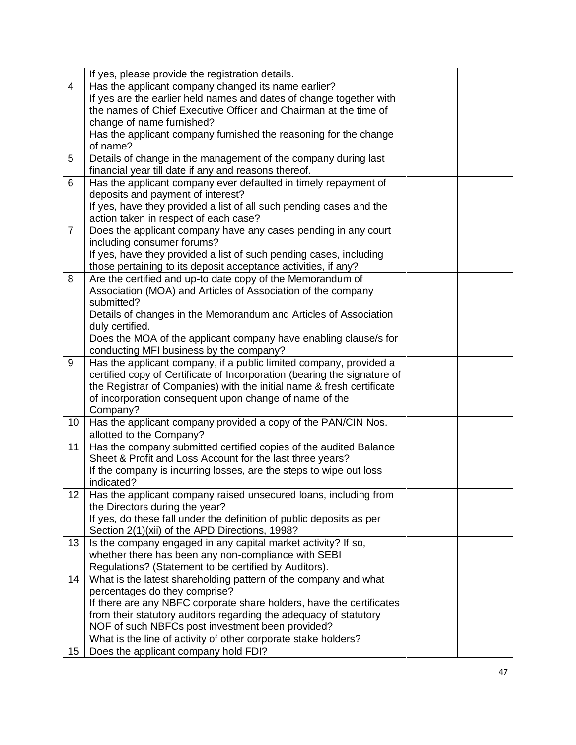|                 | If yes, please provide the registration details.                         |  |
|-----------------|--------------------------------------------------------------------------|--|
| $\overline{4}$  | Has the applicant company changed its name earlier?                      |  |
|                 | If yes are the earlier held names and dates of change together with      |  |
|                 | the names of Chief Executive Officer and Chairman at the time of         |  |
|                 | change of name furnished?                                                |  |
|                 | Has the applicant company furnished the reasoning for the change         |  |
|                 | of name?                                                                 |  |
| 5               | Details of change in the management of the company during last           |  |
|                 | financial year till date if any and reasons thereof.                     |  |
| 6               | Has the applicant company ever defaulted in timely repayment of          |  |
|                 | deposits and payment of interest?                                        |  |
|                 | If yes, have they provided a list of all such pending cases and the      |  |
|                 | action taken in respect of each case?                                    |  |
| $\overline{7}$  | Does the applicant company have any cases pending in any court           |  |
|                 | including consumer forums?                                               |  |
|                 | If yes, have they provided a list of such pending cases, including       |  |
|                 | those pertaining to its deposit acceptance activities, if any?           |  |
| 8               | Are the certified and up-to date copy of the Memorandum of               |  |
|                 | Association (MOA) and Articles of Association of the company             |  |
|                 | submitted?                                                               |  |
|                 | Details of changes in the Memorandum and Articles of Association         |  |
|                 | duly certified.                                                          |  |
|                 | Does the MOA of the applicant company have enabling clause/s for         |  |
|                 | conducting MFI business by the company?                                  |  |
| 9               | Has the applicant company, if a public limited company, provided a       |  |
|                 | certified copy of Certificate of Incorporation (bearing the signature of |  |
|                 | the Registrar of Companies) with the initial name & fresh certificate    |  |
|                 | of incorporation consequent upon change of name of the                   |  |
|                 | Company?                                                                 |  |
| 10 <sup>°</sup> | Has the applicant company provided a copy of the PAN/CIN Nos.            |  |
|                 | allotted to the Company?                                                 |  |
| 11              | Has the company submitted certified copies of the audited Balance        |  |
|                 | Sheet & Profit and Loss Account for the last three years?                |  |
|                 | If the company is incurring losses, are the steps to wipe out loss       |  |
|                 | indicated?                                                               |  |
| 12              | Has the applicant company raised unsecured loans, including from         |  |
|                 | the Directors during the year?                                           |  |
|                 | If yes, do these fall under the definition of public deposits as per     |  |
|                 | Section 2(1)(xii) of the APD Directions, 1998?                           |  |
| 13              | Is the company engaged in any capital market activity? If so,            |  |
|                 | whether there has been any non-compliance with SEBI                      |  |
|                 | Regulations? (Statement to be certified by Auditors).                    |  |
| 14              | What is the latest shareholding pattern of the company and what          |  |
|                 | percentages do they comprise?                                            |  |
|                 | If there are any NBFC corporate share holders, have the certificates     |  |
|                 | from their statutory auditors regarding the adequacy of statutory        |  |
|                 | NOF of such NBFCs post investment been provided?                         |  |
|                 | What is the line of activity of other corporate stake holders?           |  |
| 15              | Does the applicant company hold FDI?                                     |  |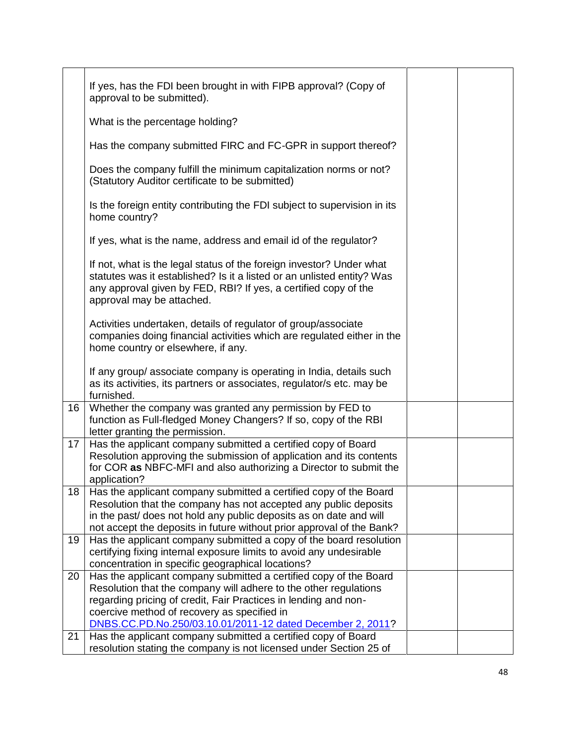|    | If yes, has the FDI been brought in with FIPB approval? (Copy of                                                                                                                                                                                                                          |  |
|----|-------------------------------------------------------------------------------------------------------------------------------------------------------------------------------------------------------------------------------------------------------------------------------------------|--|
|    | approval to be submitted).                                                                                                                                                                                                                                                                |  |
|    | What is the percentage holding?                                                                                                                                                                                                                                                           |  |
|    | Has the company submitted FIRC and FC-GPR in support thereof?                                                                                                                                                                                                                             |  |
|    | Does the company fulfill the minimum capitalization norms or not?<br>(Statutory Auditor certificate to be submitted)                                                                                                                                                                      |  |
|    | Is the foreign entity contributing the FDI subject to supervision in its<br>home country?                                                                                                                                                                                                 |  |
|    | If yes, what is the name, address and email id of the regulator?                                                                                                                                                                                                                          |  |
|    | If not, what is the legal status of the foreign investor? Under what<br>statutes was it established? Is it a listed or an unlisted entity? Was<br>any approval given by FED, RBI? If yes, a certified copy of the<br>approval may be attached.                                            |  |
|    | Activities undertaken, details of regulator of group/associate<br>companies doing financial activities which are regulated either in the<br>home country or elsewhere, if any.                                                                                                            |  |
|    | If any group/ associate company is operating in India, details such<br>as its activities, its partners or associates, regulator/s etc. may be<br>furnished.                                                                                                                               |  |
| 16 | Whether the company was granted any permission by FED to<br>function as Full-fledged Money Changers? If so, copy of the RBI<br>letter granting the permission.                                                                                                                            |  |
| 17 | Has the applicant company submitted a certified copy of Board<br>Resolution approving the submission of application and its contents<br>for COR as NBFC-MFI and also authorizing a Director to submit the<br>application?                                                                 |  |
|    | 18   Has the applicant company submitted a certified copy of the Board<br>Resolution that the company has not accepted any public deposits<br>in the past/ does not hold any public deposits as on date and will<br>not accept the deposits in future without prior approval of the Bank? |  |
| 19 | Has the applicant company submitted a copy of the board resolution<br>certifying fixing internal exposure limits to avoid any undesirable<br>concentration in specific geographical locations?                                                                                            |  |
| 20 | Has the applicant company submitted a certified copy of the Board<br>Resolution that the company will adhere to the other regulations<br>regarding pricing of credit, Fair Practices in lending and non-<br>coercive method of recovery as specified in                                   |  |
|    | DNBS.CC.PD.No.250/03.10.01/2011-12 dated December 2, 2011?                                                                                                                                                                                                                                |  |
| 21 | Has the applicant company submitted a certified copy of Board<br>resolution stating the company is not licensed under Section 25 of                                                                                                                                                       |  |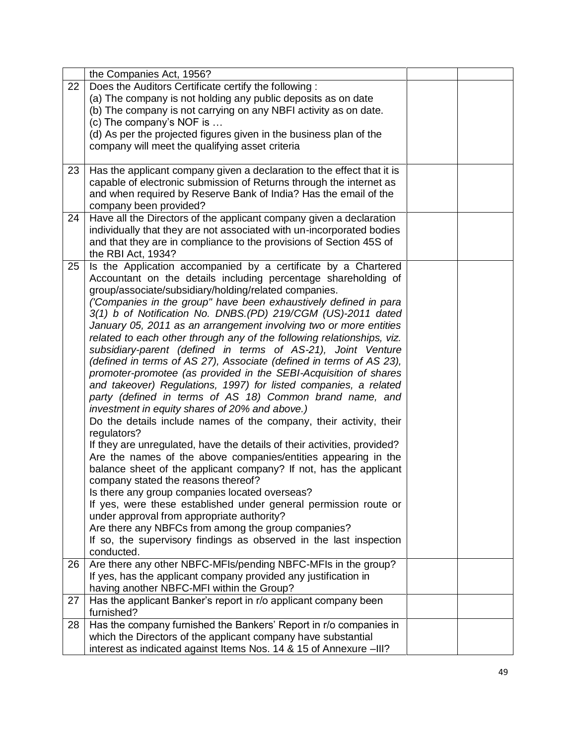|    | the Companies Act, 1956?                                                 |  |
|----|--------------------------------------------------------------------------|--|
| 22 | Does the Auditors Certificate certify the following:                     |  |
|    | (a) The company is not holding any public deposits as on date            |  |
|    | (b) The company is not carrying on any NBFI activity as on date.         |  |
|    | (c) The company's NOF is                                                 |  |
|    | (d) As per the projected figures given in the business plan of the       |  |
|    | company will meet the qualifying asset criteria                          |  |
|    |                                                                          |  |
| 23 | Has the applicant company given a declaration to the effect that it is   |  |
|    | capable of electronic submission of Returns through the internet as      |  |
|    | and when required by Reserve Bank of India? Has the email of the         |  |
|    | company been provided?                                                   |  |
| 24 | Have all the Directors of the applicant company given a declaration      |  |
|    | individually that they are not associated with un-incorporated bodies    |  |
|    | and that they are in compliance to the provisions of Section 45S of      |  |
|    | the RBI Act, 1934?                                                       |  |
| 25 | Is the Application accompanied by a certificate by a Chartered           |  |
|    | Accountant on the details including percentage shareholding of           |  |
|    | group/associate/subsidiary/holding/related companies.                    |  |
|    | ('Companies in the group" have been exhaustively defined in para         |  |
|    | 3(1) b of Notification No. DNBS.(PD) 219/CGM (US)-2011 dated             |  |
|    | January 05, 2011 as an arrangement involving two or more entities        |  |
|    | related to each other through any of the following relationships, viz.   |  |
|    | subsidiary-parent (defined in terms of AS-21), Joint Venture             |  |
|    | (defined in terms of AS 27), Associate (defined in terms of AS 23),      |  |
|    | promoter-promotee (as provided in the SEBI-Acquisition of shares         |  |
|    | and takeover) Regulations, 1997) for listed companies, a related         |  |
|    | party (defined in terms of AS 18) Common brand name, and                 |  |
|    | investment in equity shares of 20% and above.)                           |  |
|    | Do the details include names of the company, their activity, their       |  |
|    | regulators?                                                              |  |
|    | If they are unregulated, have the details of their activities, provided? |  |
|    | Are the names of the above companies/entities appearing in the           |  |
|    | balance sheet of the applicant company? If not, has the applicant        |  |
|    | company stated the reasons thereof?                                      |  |
|    | Is there any group companies located overseas?                           |  |
|    | If yes, were these established under general permission route or         |  |
|    | under approval from appropriate authority?                               |  |
|    | Are there any NBFCs from among the group companies?                      |  |
|    | If so, the supervisory findings as observed in the last inspection       |  |
|    | conducted.                                                               |  |
| 26 | Are there any other NBFC-MFIs/pending NBFC-MFIs in the group?            |  |
|    | If yes, has the applicant company provided any justification in          |  |
|    | having another NBFC-MFI within the Group?                                |  |
| 27 | Has the applicant Banker's report in r/o applicant company been          |  |
|    | furnished?                                                               |  |
| 28 | Has the company furnished the Bankers' Report in r/o companies in        |  |
|    | which the Directors of the applicant company have substantial            |  |
|    | interest as indicated against Items Nos. 14 & 15 of Annexure -III?       |  |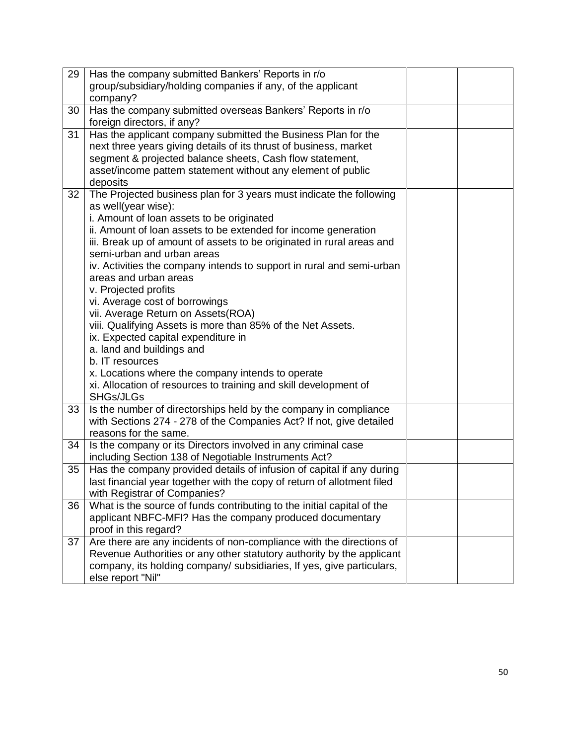| 29 | Has the company submitted Bankers' Reports in r/o                       |  |
|----|-------------------------------------------------------------------------|--|
|    | group/subsidiary/holding companies if any, of the applicant             |  |
|    | company?                                                                |  |
| 30 | Has the company submitted overseas Bankers' Reports in r/o              |  |
|    | foreign directors, if any?                                              |  |
| 31 | Has the applicant company submitted the Business Plan for the           |  |
|    | next three years giving details of its thrust of business, market       |  |
|    | segment & projected balance sheets, Cash flow statement,                |  |
|    | asset/income pattern statement without any element of public            |  |
|    | deposits                                                                |  |
| 32 | The Projected business plan for 3 years must indicate the following     |  |
|    | as well(year wise):                                                     |  |
|    | i. Amount of loan assets to be originated                               |  |
|    | ii. Amount of loan assets to be extended for income generation          |  |
|    | iii. Break up of amount of assets to be originated in rural areas and   |  |
|    | semi-urban and urban areas                                              |  |
|    | iv. Activities the company intends to support in rural and semi-urban   |  |
|    | areas and urban areas                                                   |  |
|    | v. Projected profits                                                    |  |
|    | vi. Average cost of borrowings                                          |  |
|    | vii. Average Return on Assets(ROA)                                      |  |
|    | viii. Qualifying Assets is more than 85% of the Net Assets.             |  |
|    | ix. Expected capital expenditure in                                     |  |
|    | a. land and buildings and                                               |  |
|    | b. IT resources                                                         |  |
|    | x. Locations where the company intends to operate                       |  |
|    | xi. Allocation of resources to training and skill development of        |  |
|    | SHGs/JLGs                                                               |  |
| 33 | Is the number of directorships held by the company in compliance        |  |
|    | with Sections 274 - 278 of the Companies Act? If not, give detailed     |  |
|    | reasons for the same.                                                   |  |
| 34 | Is the company or its Directors involved in any criminal case           |  |
|    | including Section 138 of Negotiable Instruments Act?                    |  |
| 35 | Has the company provided details of infusion of capital if any during   |  |
|    | last financial year together with the copy of return of allotment filed |  |
|    | with Registrar of Companies?                                            |  |
| 36 | What is the source of funds contributing to the initial capital of the  |  |
|    | applicant NBFC-MFI? Has the company produced documentary                |  |
|    | proof in this regard?                                                   |  |
| 37 | Are there are any incidents of non-compliance with the directions of    |  |
|    | Revenue Authorities or any other statutory authority by the applicant   |  |
|    | company, its holding company/ subsidiaries, If yes, give particulars,   |  |
|    | else report "Nil"                                                       |  |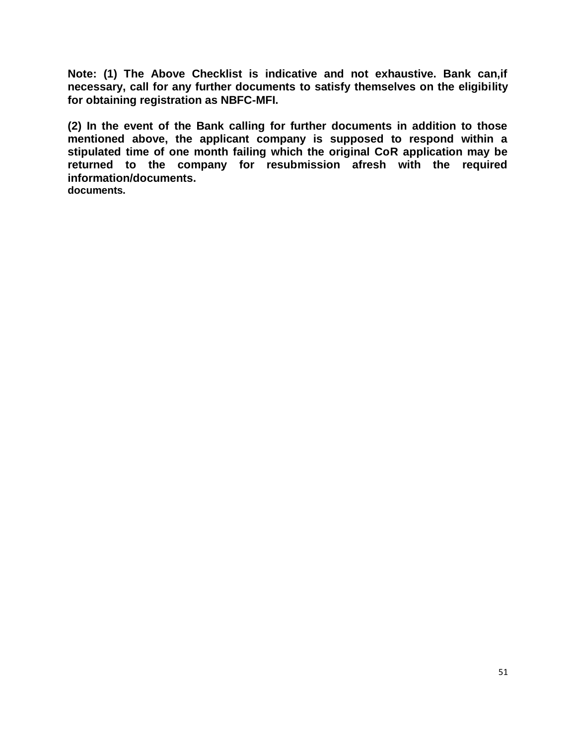**Note: (1) The Above Checklist is indicative and not exhaustive. Bank can,if necessary, call for any further documents to satisfy themselves on the eligibility for obtaining registration as NBFC-MFI.** 

**(2) In the event of the Bank calling for further documents in addition to those mentioned above, the applicant company is supposed to respond within a stipulated time of one month failing which the original CoR application may be returned to the company for resubmission afresh with the required information/documents. documents.**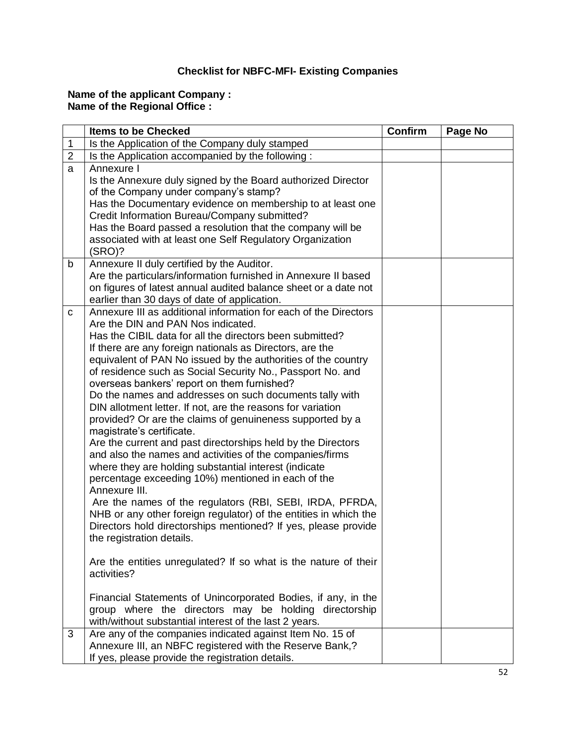## **Checklist for NBFC-MFI- Existing Companies**

## **Name of the applicant Company : Name of the Regional Office :**

|                | <b>Items to be Checked</b>                                                                                                                                                                                                                                                                                                                                                                                                                                                                                                                                                                                                                                                                                                                                                                                                                                                                                                                                                                                                                                                                                                                                                                                                                                                                                                                                                                        | Confirm | Page No |
|----------------|---------------------------------------------------------------------------------------------------------------------------------------------------------------------------------------------------------------------------------------------------------------------------------------------------------------------------------------------------------------------------------------------------------------------------------------------------------------------------------------------------------------------------------------------------------------------------------------------------------------------------------------------------------------------------------------------------------------------------------------------------------------------------------------------------------------------------------------------------------------------------------------------------------------------------------------------------------------------------------------------------------------------------------------------------------------------------------------------------------------------------------------------------------------------------------------------------------------------------------------------------------------------------------------------------------------------------------------------------------------------------------------------------|---------|---------|
| $\mathbf{1}$   | Is the Application of the Company duly stamped                                                                                                                                                                                                                                                                                                                                                                                                                                                                                                                                                                                                                                                                                                                                                                                                                                                                                                                                                                                                                                                                                                                                                                                                                                                                                                                                                    |         |         |
| $\overline{2}$ | Is the Application accompanied by the following:                                                                                                                                                                                                                                                                                                                                                                                                                                                                                                                                                                                                                                                                                                                                                                                                                                                                                                                                                                                                                                                                                                                                                                                                                                                                                                                                                  |         |         |
| a              | Annexure I<br>Is the Annexure duly signed by the Board authorized Director<br>of the Company under company's stamp?<br>Has the Documentary evidence on membership to at least one<br>Credit Information Bureau/Company submitted?<br>Has the Board passed a resolution that the company will be<br>associated with at least one Self Regulatory Organization                                                                                                                                                                                                                                                                                                                                                                                                                                                                                                                                                                                                                                                                                                                                                                                                                                                                                                                                                                                                                                      |         |         |
|                | (SRO)?                                                                                                                                                                                                                                                                                                                                                                                                                                                                                                                                                                                                                                                                                                                                                                                                                                                                                                                                                                                                                                                                                                                                                                                                                                                                                                                                                                                            |         |         |
| b              | Annexure II duly certified by the Auditor.<br>Are the particulars/information furnished in Annexure II based<br>on figures of latest annual audited balance sheet or a date not<br>earlier than 30 days of date of application.                                                                                                                                                                                                                                                                                                                                                                                                                                                                                                                                                                                                                                                                                                                                                                                                                                                                                                                                                                                                                                                                                                                                                                   |         |         |
| C              | Annexure III as additional information for each of the Directors<br>Are the DIN and PAN Nos indicated.<br>Has the CIBIL data for all the directors been submitted?<br>If there are any foreign nationals as Directors, are the<br>equivalent of PAN No issued by the authorities of the country<br>of residence such as Social Security No., Passport No. and<br>overseas bankers' report on them furnished?<br>Do the names and addresses on such documents tally with<br>DIN allotment letter. If not, are the reasons for variation<br>provided? Or are the claims of genuineness supported by a<br>magistrate's certificate.<br>Are the current and past directorships held by the Directors<br>and also the names and activities of the companies/firms<br>where they are holding substantial interest (indicate<br>percentage exceeding 10%) mentioned in each of the<br>Annexure III.<br>Are the names of the regulators (RBI, SEBI, IRDA, PFRDA,<br>NHB or any other foreign regulator) of the entities in which the<br>Directors hold directorships mentioned? If yes, please provide<br>the registration details.<br>Are the entities unregulated? If so what is the nature of their<br>activities?<br>Financial Statements of Unincorporated Bodies, if any, in the<br>group where the directors may be holding directorship<br>with/without substantial interest of the last 2 years. |         |         |
| 3              | Are any of the companies indicated against Item No. 15 of<br>Annexure III, an NBFC registered with the Reserve Bank,?<br>If yes, please provide the registration details.                                                                                                                                                                                                                                                                                                                                                                                                                                                                                                                                                                                                                                                                                                                                                                                                                                                                                                                                                                                                                                                                                                                                                                                                                         |         |         |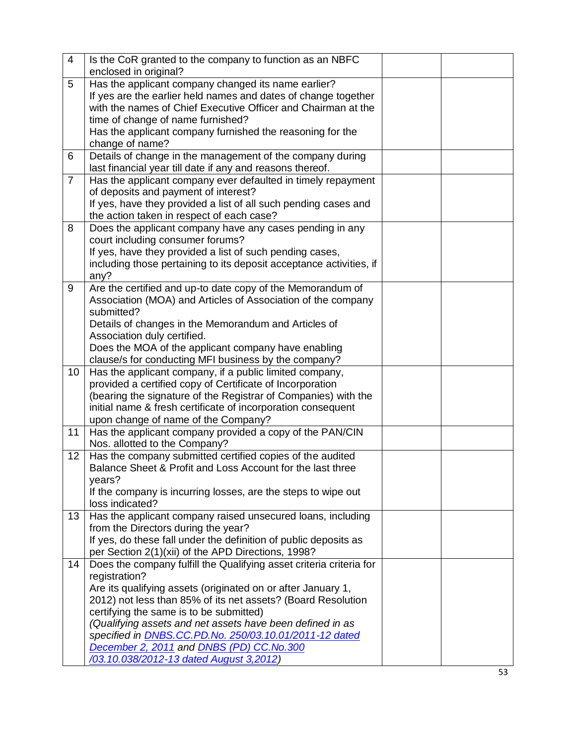| $\overline{4}$ | Is the CoR granted to the company to function as an NBFC            |  |
|----------------|---------------------------------------------------------------------|--|
|                | enclosed in original?                                               |  |
| 5              | Has the applicant company changed its name earlier?                 |  |
|                | If yes are the earlier held names and dates of change together      |  |
|                | with the names of Chief Executive Officer and Chairman at the       |  |
|                | time of change of name furnished?                                   |  |
|                | Has the applicant company furnished the reasoning for the           |  |
|                | change of name?                                                     |  |
| 6              | Details of change in the management of the company during           |  |
|                | last financial year till date if any and reasons thereof.           |  |
| $\overline{7}$ | Has the applicant company ever defaulted in timely repayment        |  |
|                | of deposits and payment of interest?                                |  |
|                | If yes, have they provided a list of all such pending cases and     |  |
|                | the action taken in respect of each case?                           |  |
| 8              | Does the applicant company have any cases pending in any            |  |
|                | court including consumer forums?                                    |  |
|                | If yes, have they provided a list of such pending cases,            |  |
|                | including those pertaining to its deposit acceptance activities, if |  |
|                | any?                                                                |  |
| 9              | Are the certified and up-to date copy of the Memorandum of          |  |
|                | Association (MOA) and Articles of Association of the company        |  |
|                | submitted?                                                          |  |
|                | Details of changes in the Memorandum and Articles of                |  |
|                | Association duly certified.                                         |  |
|                | Does the MOA of the applicant company have enabling                 |  |
|                | clause/s for conducting MFI business by the company?                |  |
| 10             | Has the applicant company, if a public limited company,             |  |
|                | provided a certified copy of Certificate of Incorporation           |  |
|                | (bearing the signature of the Registrar of Companies) with the      |  |
|                | initial name & fresh certificate of incorporation consequent        |  |
|                | upon change of name of the Company?                                 |  |
| 11             | Has the applicant company provided a copy of the PAN/CIN            |  |
|                | Nos. allotted to the Company?                                       |  |
| 12             | Has the company submitted certified copies of the audited           |  |
|                | Balance Sheet & Profit and Loss Account for the last three          |  |
|                | years?                                                              |  |
|                | If the company is incurring losses, are the steps to wipe out       |  |
|                | loss indicated?                                                     |  |
| 13             | Has the applicant company raised unsecured loans, including         |  |
|                | from the Directors during the year?                                 |  |
|                | If yes, do these fall under the definition of public deposits as    |  |
|                | per Section 2(1)(xii) of the APD Directions, 1998?                  |  |
| 14             | Does the company fulfill the Qualifying asset criteria criteria for |  |
|                | registration?                                                       |  |
|                | Are its qualifying assets (originated on or after January 1,        |  |
|                | 2012) not less than 85% of its net assets? (Board Resolution        |  |
|                | certifying the same is to be submitted)                             |  |
|                | (Qualifying assets and net assets have been defined in as           |  |
|                | specified in <b>DNBS.CC.PD.No. 250/03.10.01/2011-12 dated</b>       |  |
|                | December 2, 2011 and DNBS (PD) CC.No.300                            |  |
|                | /03.10.038/2012-13 dated August 3,2012)                             |  |
|                |                                                                     |  |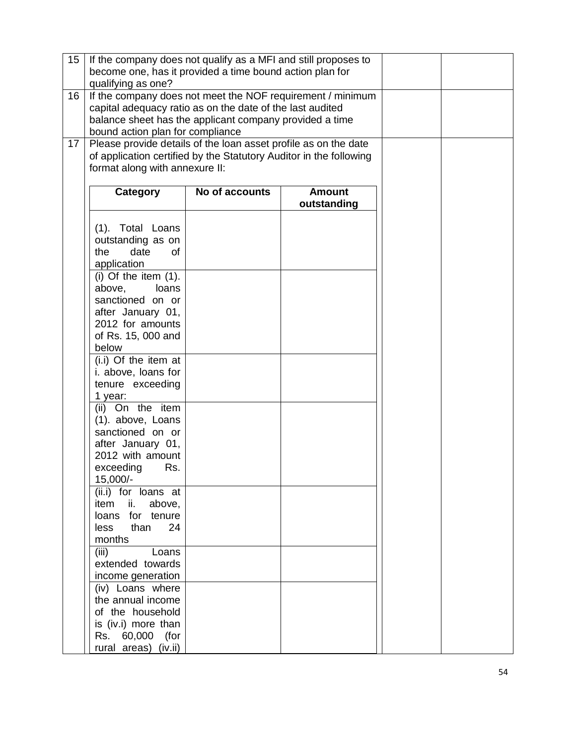| 15 | If the company does not qualify as a MFI and still proposes to                                                       |                |               |  |  |  |  |  |
|----|----------------------------------------------------------------------------------------------------------------------|----------------|---------------|--|--|--|--|--|
|    | become one, has it provided a time bound action plan for                                                             |                |               |  |  |  |  |  |
|    | qualifying as one?                                                                                                   |                |               |  |  |  |  |  |
| 16 | If the company does not meet the NOF requirement / minimum                                                           |                |               |  |  |  |  |  |
|    |                                                                                                                      |                |               |  |  |  |  |  |
|    | capital adequacy ratio as on the date of the last audited<br>balance sheet has the applicant company provided a time |                |               |  |  |  |  |  |
|    | bound action plan for compliance                                                                                     |                |               |  |  |  |  |  |
| 17 | Please provide details of the loan asset profile as on the date                                                      |                |               |  |  |  |  |  |
|    | of application certified by the Statutory Auditor in the following                                                   |                |               |  |  |  |  |  |
|    | format along with annexure II:                                                                                       |                |               |  |  |  |  |  |
|    |                                                                                                                      |                |               |  |  |  |  |  |
|    | Category                                                                                                             | No of accounts | <b>Amount</b> |  |  |  |  |  |
|    |                                                                                                                      |                | outstanding   |  |  |  |  |  |
|    |                                                                                                                      |                |               |  |  |  |  |  |
|    |                                                                                                                      |                |               |  |  |  |  |  |
|    | (1). Total Loans                                                                                                     |                |               |  |  |  |  |  |
|    | outstanding as on<br>date                                                                                            |                |               |  |  |  |  |  |
|    | the<br>0f                                                                                                            |                |               |  |  |  |  |  |
|    | application                                                                                                          |                |               |  |  |  |  |  |
|    | $(i)$ Of the item $(1)$ .                                                                                            |                |               |  |  |  |  |  |
|    | above,<br>loans                                                                                                      |                |               |  |  |  |  |  |
|    | sanctioned on or                                                                                                     |                |               |  |  |  |  |  |
|    | after January 01,                                                                                                    |                |               |  |  |  |  |  |
|    | 2012 for amounts                                                                                                     |                |               |  |  |  |  |  |
|    | of Rs. 15, 000 and                                                                                                   |                |               |  |  |  |  |  |
|    | below                                                                                                                |                |               |  |  |  |  |  |
|    | (i.i) Of the item at                                                                                                 |                |               |  |  |  |  |  |
|    | i. above, loans for                                                                                                  |                |               |  |  |  |  |  |
|    | tenure exceeding                                                                                                     |                |               |  |  |  |  |  |
|    | 1 year:                                                                                                              |                |               |  |  |  |  |  |
|    | On the item<br>(ii)                                                                                                  |                |               |  |  |  |  |  |
|    | (1). above, Loans                                                                                                    |                |               |  |  |  |  |  |
|    | sanctioned on or                                                                                                     |                |               |  |  |  |  |  |
|    | after January 01,                                                                                                    |                |               |  |  |  |  |  |
|    | 2012 with amount                                                                                                     |                |               |  |  |  |  |  |
|    | exceeding<br>Rs.                                                                                                     |                |               |  |  |  |  |  |
|    | 15,000/-                                                                                                             |                |               |  |  |  |  |  |
|    | (ii.i) for loans at                                                                                                  |                |               |  |  |  |  |  |
|    | item<br>ii.<br>above,                                                                                                |                |               |  |  |  |  |  |
|    | for tenure<br>loans                                                                                                  |                |               |  |  |  |  |  |
|    | 24<br>than<br><b>less</b>                                                                                            |                |               |  |  |  |  |  |
|    | months                                                                                                               |                |               |  |  |  |  |  |
|    | (iii)<br>Loans                                                                                                       |                |               |  |  |  |  |  |
|    | extended towards                                                                                                     |                |               |  |  |  |  |  |
|    | income generation                                                                                                    |                |               |  |  |  |  |  |
|    | (iv) Loans where                                                                                                     |                |               |  |  |  |  |  |
|    | the annual income                                                                                                    |                |               |  |  |  |  |  |
|    | of the household                                                                                                     |                |               |  |  |  |  |  |
|    | is (iv.i) more than                                                                                                  |                |               |  |  |  |  |  |
|    | Rs. 60,000 (for                                                                                                      |                |               |  |  |  |  |  |
|    | rural areas) (iv.ii)                                                                                                 |                |               |  |  |  |  |  |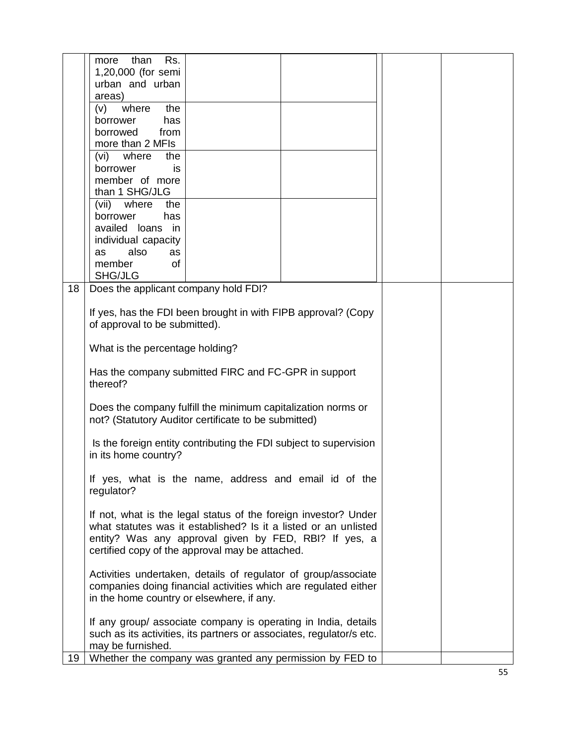|    | Rs.<br>more<br>than                                                                                                      |  |  |  |
|----|--------------------------------------------------------------------------------------------------------------------------|--|--|--|
|    | 1,20,000 (for semi<br>urban and urban                                                                                    |  |  |  |
|    | areas)                                                                                                                   |  |  |  |
|    | the<br>where<br>(v)                                                                                                      |  |  |  |
|    | has<br>borrower                                                                                                          |  |  |  |
|    | borrowed<br>from                                                                                                         |  |  |  |
|    | more than 2 MFIs                                                                                                         |  |  |  |
|    | where<br>(vi)<br>the                                                                                                     |  |  |  |
|    | borrower<br>is                                                                                                           |  |  |  |
|    | member of more<br>than 1 SHG/JLG                                                                                         |  |  |  |
|    | (vii)<br>where<br>the                                                                                                    |  |  |  |
|    | has<br>borrower                                                                                                          |  |  |  |
|    | availed loans<br>in                                                                                                      |  |  |  |
|    | individual capacity                                                                                                      |  |  |  |
|    | also<br>as<br>as                                                                                                         |  |  |  |
|    | member<br>0f<br><b>SHG/JLG</b>                                                                                           |  |  |  |
| 18 | Does the applicant company hold FDI?                                                                                     |  |  |  |
|    |                                                                                                                          |  |  |  |
|    | If yes, has the FDI been brought in with FIPB approval? (Copy                                                            |  |  |  |
|    | of approval to be submitted).                                                                                            |  |  |  |
|    |                                                                                                                          |  |  |  |
|    | What is the percentage holding?                                                                                          |  |  |  |
|    | Has the company submitted FIRC and FC-GPR in support                                                                     |  |  |  |
|    | thereof?                                                                                                                 |  |  |  |
|    |                                                                                                                          |  |  |  |
|    | Does the company fulfill the minimum capitalization norms or                                                             |  |  |  |
|    | not? (Statutory Auditor certificate to be submitted)                                                                     |  |  |  |
|    |                                                                                                                          |  |  |  |
|    | Is the foreign entity contributing the FDI subject to supervision<br>in its home country?                                |  |  |  |
|    |                                                                                                                          |  |  |  |
|    | If yes, what is the name, address and email id of the                                                                    |  |  |  |
|    | regulator?                                                                                                               |  |  |  |
|    |                                                                                                                          |  |  |  |
|    | If not, what is the legal status of the foreign investor? Under                                                          |  |  |  |
|    | what statutes was it established? Is it a listed or an unlisted<br>entity? Was any approval given by FED, RBI? If yes, a |  |  |  |
|    | certified copy of the approval may be attached.                                                                          |  |  |  |
|    |                                                                                                                          |  |  |  |
|    | Activities undertaken, details of regulator of group/associate                                                           |  |  |  |
|    | companies doing financial activities which are regulated either                                                          |  |  |  |
|    | in the home country or elsewhere, if any.                                                                                |  |  |  |
|    | If any group/ associate company is operating in India, details                                                           |  |  |  |
|    | such as its activities, its partners or associates, regulator/s etc.                                                     |  |  |  |
|    | may be furnished.                                                                                                        |  |  |  |
| 19 | Whether the company was granted any permission by FED to                                                                 |  |  |  |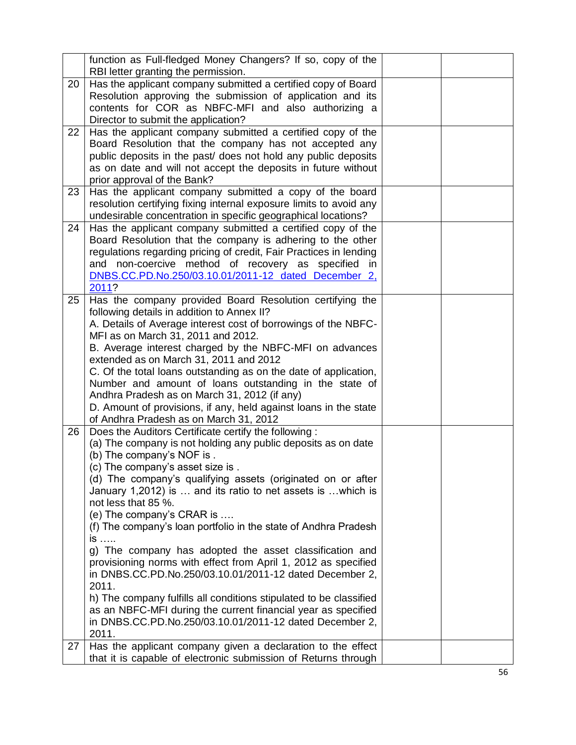|    | function as Full-fledged Money Changers? If so, copy of the<br>RBI letter granting the permission.                                                                                                                                                                                                                                                                                                                                                                                                                                                                                                                                                                                                                                                                                                                                                             |  |
|----|----------------------------------------------------------------------------------------------------------------------------------------------------------------------------------------------------------------------------------------------------------------------------------------------------------------------------------------------------------------------------------------------------------------------------------------------------------------------------------------------------------------------------------------------------------------------------------------------------------------------------------------------------------------------------------------------------------------------------------------------------------------------------------------------------------------------------------------------------------------|--|
| 20 | Has the applicant company submitted a certified copy of Board<br>Resolution approving the submission of application and its<br>contents for COR as NBFC-MFI and also authorizing a<br>Director to submit the application?                                                                                                                                                                                                                                                                                                                                                                                                                                                                                                                                                                                                                                      |  |
| 22 | Has the applicant company submitted a certified copy of the<br>Board Resolution that the company has not accepted any<br>public deposits in the past/ does not hold any public deposits<br>as on date and will not accept the deposits in future without<br>prior approval of the Bank?                                                                                                                                                                                                                                                                                                                                                                                                                                                                                                                                                                        |  |
| 23 | Has the applicant company submitted a copy of the board<br>resolution certifying fixing internal exposure limits to avoid any<br>undesirable concentration in specific geographical locations?                                                                                                                                                                                                                                                                                                                                                                                                                                                                                                                                                                                                                                                                 |  |
| 24 | Has the applicant company submitted a certified copy of the<br>Board Resolution that the company is adhering to the other<br>regulations regarding pricing of credit, Fair Practices in lending<br>and non-coercive method of recovery as specified in<br>DNBS.CC.PD.No.250/03.10.01/2011-12 dated December 2,<br>2011?                                                                                                                                                                                                                                                                                                                                                                                                                                                                                                                                        |  |
| 25 | Has the company provided Board Resolution certifying the<br>following details in addition to Annex II?<br>A. Details of Average interest cost of borrowings of the NBFC-<br>MFI as on March 31, 2011 and 2012.<br>B. Average interest charged by the NBFC-MFI on advances<br>extended as on March 31, 2011 and 2012<br>C. Of the total loans outstanding as on the date of application,<br>Number and amount of loans outstanding in the state of<br>Andhra Pradesh as on March 31, 2012 (if any)<br>D. Amount of provisions, if any, held against loans in the state<br>of Andhra Pradesh as on March 31, 2012                                                                                                                                                                                                                                                |  |
| 26 | Does the Auditors Certificate certify the following:<br>(a) The company is not holding any public deposits as on date<br>(b) The company's NOF is.<br>(c) The company's asset size is.<br>(d) The company's qualifying assets (originated on or after<br>January 1,2012) is  and its ratio to net assets is  which is<br>not less that 85 %.<br>(e) The company's CRAR is<br>(f) The company's loan portfolio in the state of Andhra Pradesh<br>is<br>g) The company has adopted the asset classification and<br>provisioning norms with effect from April 1, 2012 as specified<br>in DNBS.CC.PD.No.250/03.10.01/2011-12 dated December 2,<br>2011.<br>h) The company fulfills all conditions stipulated to be classified<br>as an NBFC-MFI during the current financial year as specified<br>in DNBS.CC.PD.No.250/03.10.01/2011-12 dated December 2,<br>2011. |  |
| 27 | Has the applicant company given a declaration to the effect<br>that it is capable of electronic submission of Returns through                                                                                                                                                                                                                                                                                                                                                                                                                                                                                                                                                                                                                                                                                                                                  |  |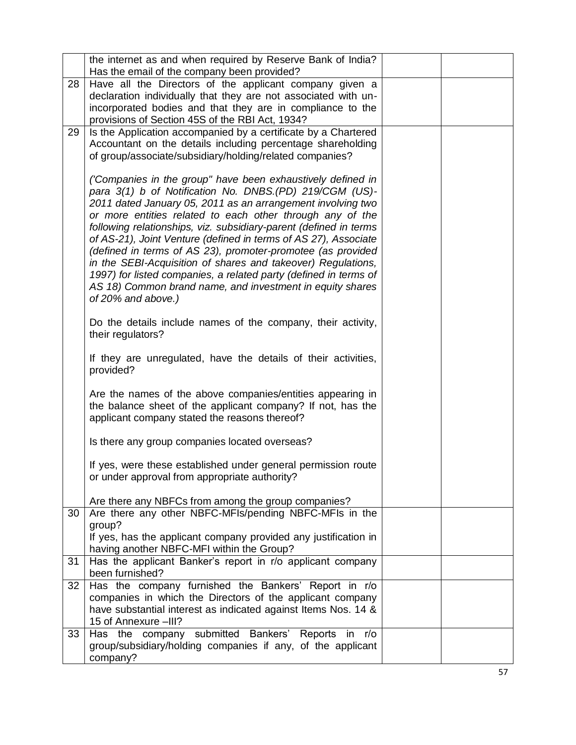|          | the internet as and when required by Reserve Bank of India?                                                                                                                                                                                                                                                                                                                                                                                                                                                                       |  |
|----------|-----------------------------------------------------------------------------------------------------------------------------------------------------------------------------------------------------------------------------------------------------------------------------------------------------------------------------------------------------------------------------------------------------------------------------------------------------------------------------------------------------------------------------------|--|
|          | Has the email of the company been provided?                                                                                                                                                                                                                                                                                                                                                                                                                                                                                       |  |
| 28       | Have all the Directors of the applicant company given a                                                                                                                                                                                                                                                                                                                                                                                                                                                                           |  |
|          | declaration individually that they are not associated with un-                                                                                                                                                                                                                                                                                                                                                                                                                                                                    |  |
|          | incorporated bodies and that they are in compliance to the<br>provisions of Section 45S of the RBI Act, 1934?                                                                                                                                                                                                                                                                                                                                                                                                                     |  |
| 29       | Is the Application accompanied by a certificate by a Chartered                                                                                                                                                                                                                                                                                                                                                                                                                                                                    |  |
|          | Accountant on the details including percentage shareholding                                                                                                                                                                                                                                                                                                                                                                                                                                                                       |  |
|          | of group/associate/subsidiary/holding/related companies?                                                                                                                                                                                                                                                                                                                                                                                                                                                                          |  |
|          |                                                                                                                                                                                                                                                                                                                                                                                                                                                                                                                                   |  |
|          | ('Companies in the group" have been exhaustively defined in                                                                                                                                                                                                                                                                                                                                                                                                                                                                       |  |
|          | para 3(1) b of Notification No. DNBS. (PD) 219/CGM (US)-                                                                                                                                                                                                                                                                                                                                                                                                                                                                          |  |
|          | 2011 dated January 05, 2011 as an arrangement involving two                                                                                                                                                                                                                                                                                                                                                                                                                                                                       |  |
|          | or more entities related to each other through any of the                                                                                                                                                                                                                                                                                                                                                                                                                                                                         |  |
|          | following relationships, viz. subsidiary-parent (defined in terms                                                                                                                                                                                                                                                                                                                                                                                                                                                                 |  |
|          | of AS-21), Joint Venture (defined in terms of AS 27), Associate<br>(defined in terms of AS 23), promoter-promotee (as provided                                                                                                                                                                                                                                                                                                                                                                                                    |  |
|          | in the SEBI-Acquisition of shares and takeover) Regulations,                                                                                                                                                                                                                                                                                                                                                                                                                                                                      |  |
|          | 1997) for listed companies, a related party (defined in terms of                                                                                                                                                                                                                                                                                                                                                                                                                                                                  |  |
|          | AS 18) Common brand name, and investment in equity shares                                                                                                                                                                                                                                                                                                                                                                                                                                                                         |  |
|          | of 20% and above.)                                                                                                                                                                                                                                                                                                                                                                                                                                                                                                                |  |
|          |                                                                                                                                                                                                                                                                                                                                                                                                                                                                                                                                   |  |
|          | Do the details include names of the company, their activity,                                                                                                                                                                                                                                                                                                                                                                                                                                                                      |  |
|          | their regulators?                                                                                                                                                                                                                                                                                                                                                                                                                                                                                                                 |  |
|          | If they are unregulated, have the details of their activities,                                                                                                                                                                                                                                                                                                                                                                                                                                                                    |  |
|          | provided?                                                                                                                                                                                                                                                                                                                                                                                                                                                                                                                         |  |
|          |                                                                                                                                                                                                                                                                                                                                                                                                                                                                                                                                   |  |
|          | Are the names of the above companies/entities appearing in                                                                                                                                                                                                                                                                                                                                                                                                                                                                        |  |
|          | the balance sheet of the applicant company? If not, has the                                                                                                                                                                                                                                                                                                                                                                                                                                                                       |  |
|          | applicant company stated the reasons thereof?                                                                                                                                                                                                                                                                                                                                                                                                                                                                                     |  |
|          | Is there any group companies located overseas?                                                                                                                                                                                                                                                                                                                                                                                                                                                                                    |  |
|          |                                                                                                                                                                                                                                                                                                                                                                                                                                                                                                                                   |  |
|          | If yes, were these established under general permission route                                                                                                                                                                                                                                                                                                                                                                                                                                                                     |  |
|          | or under approval from appropriate authority?                                                                                                                                                                                                                                                                                                                                                                                                                                                                                     |  |
|          |                                                                                                                                                                                                                                                                                                                                                                                                                                                                                                                                   |  |
|          |                                                                                                                                                                                                                                                                                                                                                                                                                                                                                                                                   |  |
|          |                                                                                                                                                                                                                                                                                                                                                                                                                                                                                                                                   |  |
|          |                                                                                                                                                                                                                                                                                                                                                                                                                                                                                                                                   |  |
|          |                                                                                                                                                                                                                                                                                                                                                                                                                                                                                                                                   |  |
| 31       | Has the applicant Banker's report in r/o applicant company                                                                                                                                                                                                                                                                                                                                                                                                                                                                        |  |
|          | been furnished?                                                                                                                                                                                                                                                                                                                                                                                                                                                                                                                   |  |
| 32       | Has the company furnished the Bankers' Report in r/o                                                                                                                                                                                                                                                                                                                                                                                                                                                                              |  |
|          |                                                                                                                                                                                                                                                                                                                                                                                                                                                                                                                                   |  |
|          |                                                                                                                                                                                                                                                                                                                                                                                                                                                                                                                                   |  |
|          |                                                                                                                                                                                                                                                                                                                                                                                                                                                                                                                                   |  |
|          |                                                                                                                                                                                                                                                                                                                                                                                                                                                                                                                                   |  |
|          |                                                                                                                                                                                                                                                                                                                                                                                                                                                                                                                                   |  |
| 30<br>33 | Are there any NBFCs from among the group companies?<br>Are there any other NBFC-MFIs/pending NBFC-MFIs in the<br>group?<br>If yes, has the applicant company provided any justification in<br>having another NBFC-MFI within the Group?<br>companies in which the Directors of the applicant company<br>have substantial interest as indicated against Items Nos. 14 &<br>15 of Annexure -III?<br>Has the company submitted Bankers' Reports in<br>r/o<br>group/subsidiary/holding companies if any, of the applicant<br>company? |  |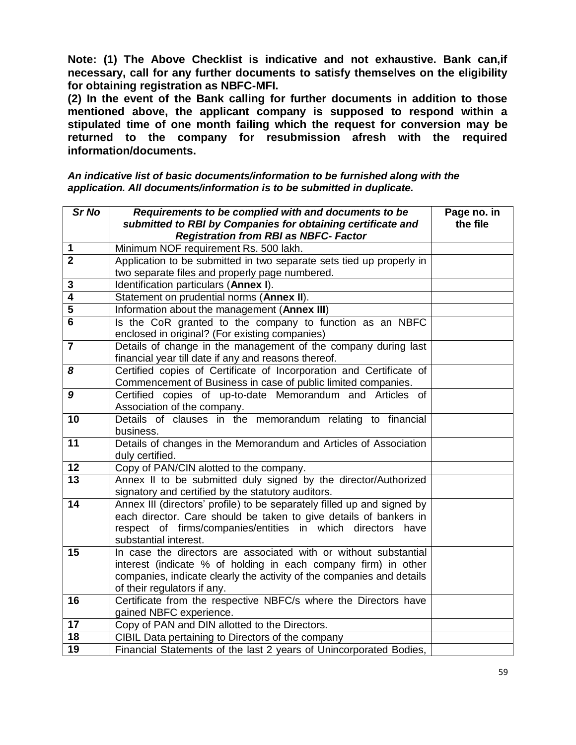**Note: (1) The Above Checklist is indicative and not exhaustive. Bank can,if necessary, call for any further documents to satisfy themselves on the eligibility for obtaining registration as NBFC-MFI.** 

**(2) In the event of the Bank calling for further documents in addition to those mentioned above, the applicant company is supposed to respond within a stipulated time of one month failing which the request for conversion may be returned to the company for resubmission afresh with the required information/documents.**

*An indicative list of basic documents/information to be furnished along with the application. All documents/information is to be submitted in duplicate.*

| Sr No                   | Requirements to be complied with and documents to be<br>submitted to RBI by Companies for obtaining certificate and | Page no. in<br>the file |
|-------------------------|---------------------------------------------------------------------------------------------------------------------|-------------------------|
|                         | <b>Registration from RBI as NBFC- Factor</b>                                                                        |                         |
| 1                       | Minimum NOF requirement Rs. 500 lakh.                                                                               |                         |
| $\overline{2}$          | Application to be submitted in two separate sets tied up properly in                                                |                         |
|                         | two separate files and properly page numbered.                                                                      |                         |
| 3                       | Identification particulars (Annex I).                                                                               |                         |
| 4                       | Statement on prudential norms (Annex II).                                                                           |                         |
| 5                       | Information about the management (Annex III)                                                                        |                         |
| 6                       | Is the CoR granted to the company to function as an NBFC                                                            |                         |
|                         | enclosed in original? (For existing companies)                                                                      |                         |
| $\overline{\mathbf{7}}$ | Details of change in the management of the company during last                                                      |                         |
|                         | financial year till date if any and reasons thereof.                                                                |                         |
| 8                       | Certified copies of Certificate of Incorporation and Certificate of                                                 |                         |
|                         | Commencement of Business in case of public limited companies.                                                       |                         |
| 9                       | Certified copies of up-to-date Memorandum and Articles of                                                           |                         |
|                         | Association of the company.                                                                                         |                         |
| $\overline{10}$         | Details of clauses in the memorandum relating to financial<br>business.                                             |                         |
| 11                      | Details of changes in the Memorandum and Articles of Association                                                    |                         |
|                         | duly certified.                                                                                                     |                         |
| 12                      | Copy of PAN/CIN alotted to the company.                                                                             |                         |
| $\overline{13}$         | Annex II to be submitted duly signed by the director/Authorized                                                     |                         |
|                         | signatory and certified by the statutory auditors.                                                                  |                         |
| 14                      | Annex III (directors' profile) to be separately filled up and signed by                                             |                         |
|                         | each director. Care should be taken to give details of bankers in                                                   |                         |
|                         | respect of firms/companies/entities in which directors<br>have                                                      |                         |
|                         | substantial interest.                                                                                               |                         |
| 15                      | In case the directors are associated with or without substantial                                                    |                         |
|                         | interest (indicate % of holding in each company firm) in other                                                      |                         |
|                         | companies, indicate clearly the activity of the companies and details                                               |                         |
| 16                      | of their regulators if any.<br>Certificate from the respective NBFC/s where the Directors have                      |                         |
|                         | gained NBFC experience.                                                                                             |                         |
| $\overline{17}$         | Copy of PAN and DIN allotted to the Directors.                                                                      |                         |
| 18                      | CIBIL Data pertaining to Directors of the company                                                                   |                         |
| 19                      | Financial Statements of the last 2 years of Unincorporated Bodies,                                                  |                         |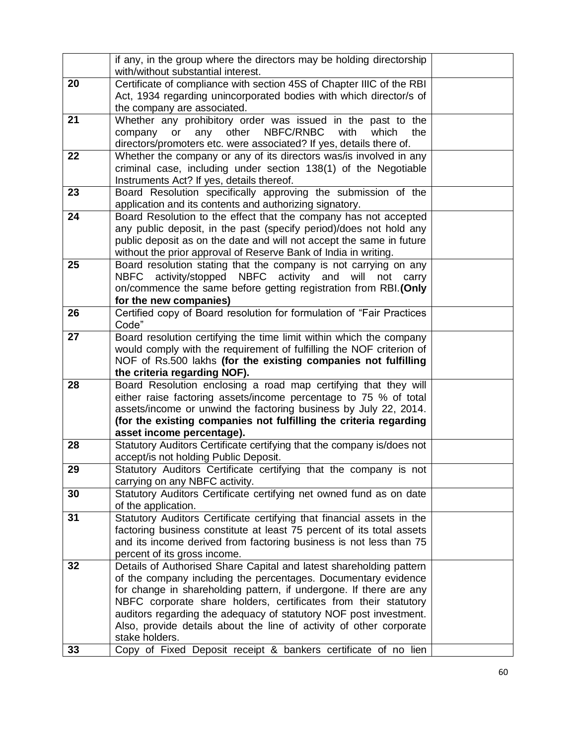|    | if any, in the group where the directors may be holding directorship<br>with/without substantial interest. |  |
|----|------------------------------------------------------------------------------------------------------------|--|
| 20 | Certificate of compliance with section 45S of Chapter IIIC of the RBI                                      |  |
|    | Act, 1934 regarding unincorporated bodies with which director/s of                                         |  |
|    | the company are associated.                                                                                |  |
| 21 | Whether any prohibitory order was issued in the past to the                                                |  |
|    | NBFC/RNBC<br>other<br>with<br>which                                                                        |  |
|    | or<br>any<br>company<br>the                                                                                |  |
|    | directors/promoters etc. were associated? If yes, details there of.                                        |  |
| 22 | Whether the company or any of its directors was/is involved in any                                         |  |
|    | criminal case, including under section 138(1) of the Negotiable                                            |  |
|    | Instruments Act? If yes, details thereof.                                                                  |  |
| 23 | Board Resolution specifically approving the submission of the                                              |  |
|    | application and its contents and authorizing signatory.                                                    |  |
| 24 | Board Resolution to the effect that the company has not accepted                                           |  |
|    | any public deposit, in the past (specify period)/does not hold any                                         |  |
|    | public deposit as on the date and will not accept the same in future                                       |  |
|    | without the prior approval of Reserve Bank of India in writing.                                            |  |
| 25 | Board resolution stating that the company is not carrying on any                                           |  |
|    | activity/stopped<br><b>NBFC</b><br>activity<br><b>NBFC</b><br>and<br>will<br>not<br>carry                  |  |
|    | on/commence the same before getting registration from RBI. (Only                                           |  |
|    | for the new companies)                                                                                     |  |
| 26 | Certified copy of Board resolution for formulation of "Fair Practices                                      |  |
|    | Code"                                                                                                      |  |
| 27 | Board resolution certifying the time limit within which the company                                        |  |
|    | would comply with the requirement of fulfilling the NOF criterion of                                       |  |
|    | NOF of Rs.500 lakhs (for the existing companies not fulfilling                                             |  |
|    | the criteria regarding NOF).                                                                               |  |
| 28 | Board Resolution enclosing a road map certifying that they will                                            |  |
|    | either raise factoring assets/income percentage to 75 % of total                                           |  |
|    | assets/income or unwind the factoring business by July 22, 2014.                                           |  |
|    | (for the existing companies not fulfilling the criteria regarding                                          |  |
|    | asset income percentage).                                                                                  |  |
| 28 | Statutory Auditors Certificate certifying that the company is/does not                                     |  |
|    | accept/is not holding Public Deposit.                                                                      |  |
| 29 | Statutory Auditors Certificate certifying that the company is not                                          |  |
|    | carrying on any NBFC activity.                                                                             |  |
| 30 | Statutory Auditors Certificate certifying net owned fund as on date                                        |  |
|    | of the application.                                                                                        |  |
| 31 | Statutory Auditors Certificate certifying that financial assets in the                                     |  |
|    | factoring business constitute at least 75 percent of its total assets                                      |  |
|    | and its income derived from factoring business is not less than 75                                         |  |
|    | percent of its gross income.                                                                               |  |
| 32 | Details of Authorised Share Capital and latest shareholding pattern                                        |  |
|    | of the company including the percentages. Documentary evidence                                             |  |
|    | for change in shareholding pattern, if undergone. If there are any                                         |  |
|    | NBFC corporate share holders, certificates from their statutory                                            |  |
|    | auditors regarding the adequacy of statutory NOF post investment.                                          |  |
|    | Also, provide details about the line of activity of other corporate                                        |  |
|    | stake holders.                                                                                             |  |
| 33 | Copy of Fixed Deposit receipt & bankers certificate of no lien                                             |  |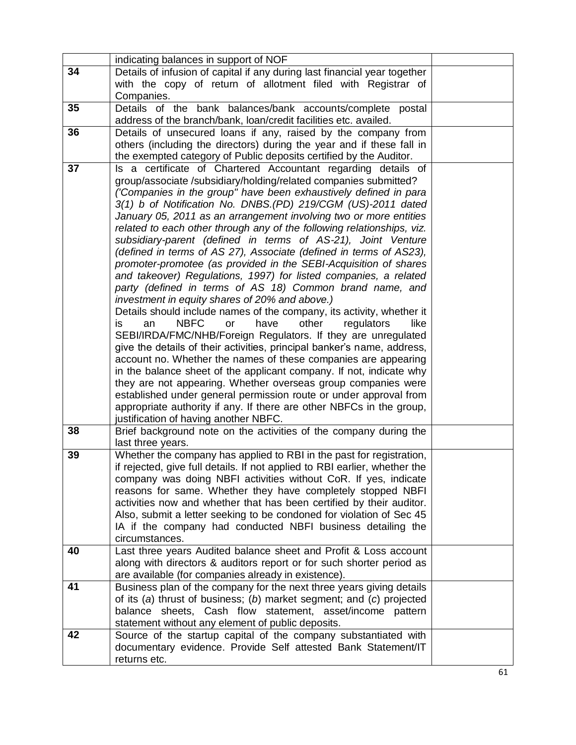|    | indicating balances in support of NOF                                                                                                              |  |
|----|----------------------------------------------------------------------------------------------------------------------------------------------------|--|
| 34 | Details of infusion of capital if any during last financial year together                                                                          |  |
|    | with the copy of return of allotment filed with Registrar of                                                                                       |  |
|    | Companies.                                                                                                                                         |  |
| 35 | Details of the bank balances/bank accounts/complete postal<br>address of the branch/bank, loan/credit facilities etc. availed.                     |  |
| 36 | Details of unsecured loans if any, raised by the company from                                                                                      |  |
|    | others (including the directors) during the year and if these fall in                                                                              |  |
|    | the exempted category of Public deposits certified by the Auditor.                                                                                 |  |
| 37 | Is a certificate of Chartered Accountant regarding details of                                                                                      |  |
|    | group/associate /subsidiary/holding/related companies submitted?                                                                                   |  |
|    | ('Companies in the group" have been exhaustively defined in para                                                                                   |  |
|    | 3(1) b of Notification No. DNBS.(PD) 219/CGM (US)-2011 dated<br>January 05, 2011 as an arrangement involving two or more entities                  |  |
|    | related to each other through any of the following relationships, viz.                                                                             |  |
|    | subsidiary-parent (defined in terms of AS-21), Joint Venture                                                                                       |  |
|    | (defined in terms of AS 27), Associate (defined in terms of AS23),                                                                                 |  |
|    | promoter-promotee (as provided in the SEBI-Acquisition of shares                                                                                   |  |
|    | and takeover) Regulations, 1997) for listed companies, a related                                                                                   |  |
|    | party (defined in terms of AS 18) Common brand name, and                                                                                           |  |
|    | investment in equity shares of 20% and above.)                                                                                                     |  |
|    | Details should include names of the company, its activity, whether it                                                                              |  |
|    | <b>NBFC</b><br>other<br>have<br>regulators<br>is<br>an<br>or<br>like                                                                               |  |
|    | SEBI/IRDA/FMC/NHB/Foreign Regulators. If they are unregulated<br>give the details of their activities, principal banker's name, address,           |  |
|    | account no. Whether the names of these companies are appearing                                                                                     |  |
|    | in the balance sheet of the applicant company. If not, indicate why                                                                                |  |
|    | they are not appearing. Whether overseas group companies were                                                                                      |  |
|    | established under general permission route or under approval from                                                                                  |  |
|    | appropriate authority if any. If there are other NBFCs in the group,                                                                               |  |
|    | justification of having another NBFC.                                                                                                              |  |
| 38 | Brief background note on the activities of the company during the                                                                                  |  |
|    | last three years.                                                                                                                                  |  |
| 39 | Whether the company has applied to RBI in the past for registration,                                                                               |  |
|    | if rejected, give full details. If not applied to RBI earlier, whether the<br>company was doing NBFI activities without CoR. If yes, indicate      |  |
|    | reasons for same. Whether they have completely stopped NBFI                                                                                        |  |
|    | activities now and whether that has been certified by their auditor.                                                                               |  |
|    | Also, submit a letter seeking to be condoned for violation of Sec 45                                                                               |  |
|    | IA if the company had conducted NBFI business detailing the                                                                                        |  |
|    | circumstances.                                                                                                                                     |  |
| 40 | Last three years Audited balance sheet and Profit & Loss account                                                                                   |  |
|    | along with directors & auditors report or for such shorter period as                                                                               |  |
| 41 | are available (for companies already in existence).                                                                                                |  |
|    | Business plan of the company for the next three years giving details<br>of its $(a)$ thrust of business; $(b)$ market segment; and $(c)$ projected |  |
|    | balance sheets, Cash flow statement, asset/income pattern                                                                                          |  |
|    | statement without any element of public deposits.                                                                                                  |  |
| 42 | Source of the startup capital of the company substantiated with                                                                                    |  |
|    | documentary evidence. Provide Self attested Bank Statement/IT                                                                                      |  |
|    | returns etc.                                                                                                                                       |  |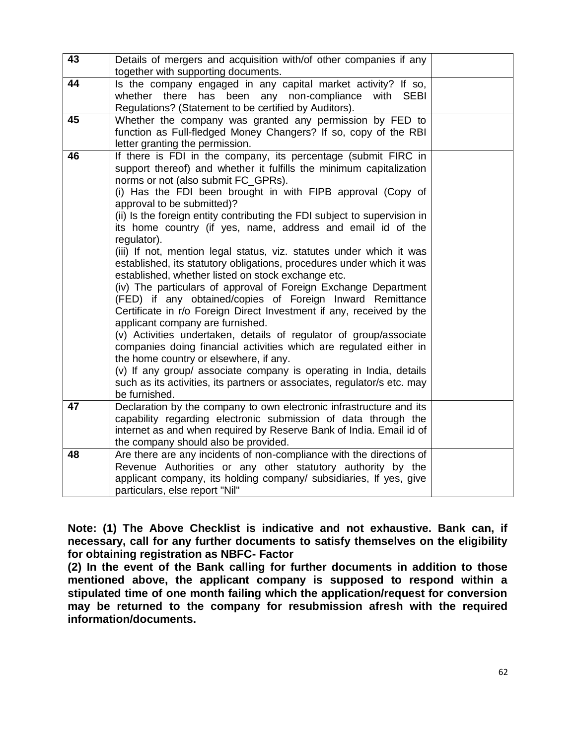| 43 | Details of mergers and acquisition with/of other companies if any<br>together with supporting documents.                                                                                                                                                                                                                                                                                                                                                                                                                                                                                                                                                                                                                                                                                                                                                                                                                                                                                                                                                                                                                                                                                                                                         |  |
|----|--------------------------------------------------------------------------------------------------------------------------------------------------------------------------------------------------------------------------------------------------------------------------------------------------------------------------------------------------------------------------------------------------------------------------------------------------------------------------------------------------------------------------------------------------------------------------------------------------------------------------------------------------------------------------------------------------------------------------------------------------------------------------------------------------------------------------------------------------------------------------------------------------------------------------------------------------------------------------------------------------------------------------------------------------------------------------------------------------------------------------------------------------------------------------------------------------------------------------------------------------|--|
| 44 | Is the company engaged in any capital market activity? If so,<br>whether there<br>has been<br>any non-compliance<br>with<br><b>SEBI</b><br>Regulations? (Statement to be certified by Auditors).                                                                                                                                                                                                                                                                                                                                                                                                                                                                                                                                                                                                                                                                                                                                                                                                                                                                                                                                                                                                                                                 |  |
| 45 | Whether the company was granted any permission by FED to<br>function as Full-fledged Money Changers? If so, copy of the RBI<br>letter granting the permission.                                                                                                                                                                                                                                                                                                                                                                                                                                                                                                                                                                                                                                                                                                                                                                                                                                                                                                                                                                                                                                                                                   |  |
| 46 | If there is FDI in the company, its percentage (submit FIRC in<br>support thereof) and whether it fulfills the minimum capitalization<br>norms or not (also submit FC_GPRs).<br>(i) Has the FDI been brought in with FIPB approval (Copy of<br>approval to be submitted)?<br>(ii) Is the foreign entity contributing the FDI subject to supervision in<br>its home country (if yes, name, address and email id of the<br>regulator).<br>(iii) If not, mention legal status, viz. statutes under which it was<br>established, its statutory obligations, procedures under which it was<br>established, whether listed on stock exchange etc.<br>(iv) The particulars of approval of Foreign Exchange Department<br>(FED) if any obtained/copies of Foreign Inward Remittance<br>Certificate in r/o Foreign Direct Investment if any, received by the<br>applicant company are furnished.<br>(v) Activities undertaken, details of regulator of group/associate<br>companies doing financial activities which are regulated either in<br>the home country or elsewhere, if any.<br>(v) If any group/ associate company is operating in India, details<br>such as its activities, its partners or associates, regulator/s etc. may<br>be furnished. |  |
| 47 | Declaration by the company to own electronic infrastructure and its<br>capability regarding electronic submission of data through the<br>internet as and when required by Reserve Bank of India. Email id of<br>the company should also be provided.                                                                                                                                                                                                                                                                                                                                                                                                                                                                                                                                                                                                                                                                                                                                                                                                                                                                                                                                                                                             |  |
| 48 | Are there are any incidents of non-compliance with the directions of<br>Revenue Authorities or any other statutory authority by the<br>applicant company, its holding company/ subsidiaries, If yes, give<br>particulars, else report "Nil"                                                                                                                                                                                                                                                                                                                                                                                                                                                                                                                                                                                                                                                                                                                                                                                                                                                                                                                                                                                                      |  |

**Note: (1) The Above Checklist is indicative and not exhaustive. Bank can, if necessary, call for any further documents to satisfy themselves on the eligibility for obtaining registration as NBFC- Factor** 

**(2) In the event of the Bank calling for further documents in addition to those mentioned above, the applicant company is supposed to respond within a stipulated time of one month failing which the application/request for conversion may be returned to the company for resubmission afresh with the required information/documents.**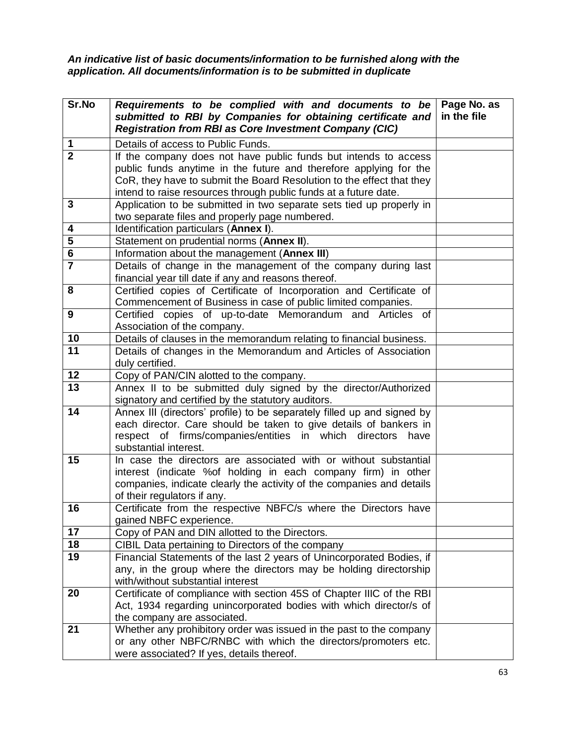*An indicative list of basic documents/information to be furnished along with the application. All documents/information is to be submitted in duplicate* 

| Sr.No          | Requirements to be complied with and documents to be<br>submitted to RBI by Companies for obtaining certificate and<br><b>Registration from RBI as Core Investment Company (CIC)</b>                                                                                              | Page No. as<br>in the file |
|----------------|-----------------------------------------------------------------------------------------------------------------------------------------------------------------------------------------------------------------------------------------------------------------------------------|----------------------------|
| 1              | Details of access to Public Funds.                                                                                                                                                                                                                                                |                            |
| $\overline{2}$ | If the company does not have public funds but intends to access<br>public funds anytime in the future and therefore applying for the<br>CoR, they have to submit the Board Resolution to the effect that they<br>intend to raise resources through public funds at a future date. |                            |
| 3              | Application to be submitted in two separate sets tied up properly in<br>two separate files and properly page numbered.                                                                                                                                                            |                            |
| 4              | Identification particulars (Annex I).                                                                                                                                                                                                                                             |                            |
| 5              | Statement on prudential norms (Annex II).                                                                                                                                                                                                                                         |                            |
| 6              | Information about the management (Annex III)                                                                                                                                                                                                                                      |                            |
| $\overline{7}$ | Details of change in the management of the company during last<br>financial year till date if any and reasons thereof.                                                                                                                                                            |                            |
| 8              | Certified copies of Certificate of Incorporation and Certificate of<br>Commencement of Business in case of public limited companies.                                                                                                                                              |                            |
| 9              | Certified copies of up-to-date Memorandum and Articles<br>of<br>Association of the company.                                                                                                                                                                                       |                            |
| 10             | Details of clauses in the memorandum relating to financial business.                                                                                                                                                                                                              |                            |
| 11             | Details of changes in the Memorandum and Articles of Association<br>duly certified.                                                                                                                                                                                               |                            |
| 12             | Copy of PAN/CIN alotted to the company.                                                                                                                                                                                                                                           |                            |
| 13             | Annex II to be submitted duly signed by the director/Authorized<br>signatory and certified by the statutory auditors.                                                                                                                                                             |                            |
| 14             | Annex III (directors' profile) to be separately filled up and signed by<br>each director. Care should be taken to give details of bankers in<br>respect of firms/companies/entities in which directors<br>have<br>substantial interest.                                           |                            |
| 15             | In case the directors are associated with or without substantial<br>interest (indicate %of holding in each company firm) in other<br>companies, indicate clearly the activity of the companies and details<br>of their regulators if any.                                         |                            |
| 16             | Certificate from the respective NBFC/s where the Directors have<br>gained NBFC experience.                                                                                                                                                                                        |                            |
| 17             | Copy of PAN and DIN allotted to the Directors.                                                                                                                                                                                                                                    |                            |
| 18             | CIBIL Data pertaining to Directors of the company                                                                                                                                                                                                                                 |                            |
| 19             | Financial Statements of the last 2 years of Unincorporated Bodies, if<br>any, in the group where the directors may be holding directorship<br>with/without substantial interest                                                                                                   |                            |
| 20             | Certificate of compliance with section 45S of Chapter IIIC of the RBI<br>Act, 1934 regarding unincorporated bodies with which director/s of<br>the company are associated.                                                                                                        |                            |
| 21             | Whether any prohibitory order was issued in the past to the company<br>or any other NBFC/RNBC with which the directors/promoters etc.<br>were associated? If yes, details thereof.                                                                                                |                            |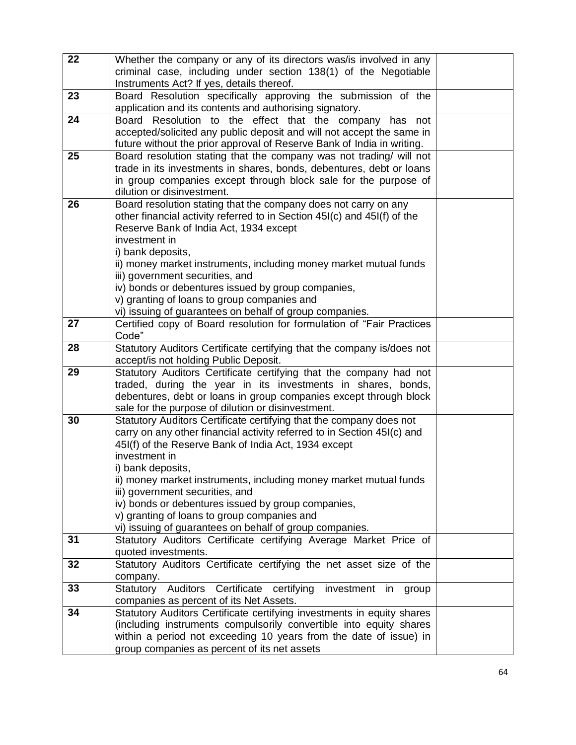| 22 | Whether the company or any of its directors was/is involved in any                                |  |
|----|---------------------------------------------------------------------------------------------------|--|
|    | criminal case, including under section 138(1) of the Negotiable                                   |  |
|    | Instruments Act? If yes, details thereof.                                                         |  |
| 23 | Board Resolution specifically approving the submission of the                                     |  |
|    | application and its contents and authorising signatory.                                           |  |
| 24 | Board Resolution to the effect that the company has not                                           |  |
|    | accepted/solicited any public deposit and will not accept the same in                             |  |
|    | future without the prior approval of Reserve Bank of India in writing.                            |  |
| 25 | Board resolution stating that the company was not trading/ will not                               |  |
|    | trade in its investments in shares, bonds, debentures, debt or loans                              |  |
|    | in group companies except through block sale for the purpose of                                   |  |
|    | dilution or disinvestment.                                                                        |  |
| 26 | Board resolution stating that the company does not carry on any                                   |  |
|    | other financial activity referred to in Section 45I(c) and 45I(f) of the                          |  |
|    | Reserve Bank of India Act, 1934 except                                                            |  |
|    | investment in                                                                                     |  |
|    | i) bank deposits,                                                                                 |  |
|    | ii) money market instruments, including money market mutual funds                                 |  |
|    | iii) government securities, and                                                                   |  |
|    | iv) bonds or debentures issued by group companies,<br>v) granting of loans to group companies and |  |
|    | vi) issuing of guarantees on behalf of group companies.                                           |  |
| 27 | Certified copy of Board resolution for formulation of "Fair Practices                             |  |
|    | Code"                                                                                             |  |
| 28 | Statutory Auditors Certificate certifying that the company is/does not                            |  |
|    | accept/is not holding Public Deposit.                                                             |  |
| 29 | Statutory Auditors Certificate certifying that the company had not                                |  |
|    | traded, during the year in its investments in shares, bonds,                                      |  |
|    | debentures, debt or loans in group companies except through block                                 |  |
|    | sale for the purpose of dilution or disinvestment.                                                |  |
| 30 | Statutory Auditors Certificate certifying that the company does not                               |  |
|    | carry on any other financial activity referred to in Section 45I(c) and                           |  |
|    | 45I(f) of the Reserve Bank of India Act, 1934 except                                              |  |
|    | investment in                                                                                     |  |
|    | i) bank deposits,                                                                                 |  |
|    | ii) money market instruments, including money market mutual funds                                 |  |
|    | iii) government securities, and                                                                   |  |
|    | iv) bonds or debentures issued by group companies,<br>v) granting of loans to group companies and |  |
|    | vi) issuing of guarantees on behalf of group companies.                                           |  |
| 31 | Statutory Auditors Certificate certifying Average Market Price of                                 |  |
|    | quoted investments.                                                                               |  |
| 32 | Statutory Auditors Certificate certifying the net asset size of the                               |  |
|    | company.                                                                                          |  |
| 33 | Statutory Auditors Certificate certifying<br>investment in<br>group                               |  |
|    | companies as percent of its Net Assets.                                                           |  |
| 34 | Statutory Auditors Certificate certifying investments in equity shares                            |  |
|    | (including instruments compulsorily convertible into equity shares                                |  |
|    | within a period not exceeding 10 years from the date of issue) in                                 |  |
|    | group companies as percent of its net assets                                                      |  |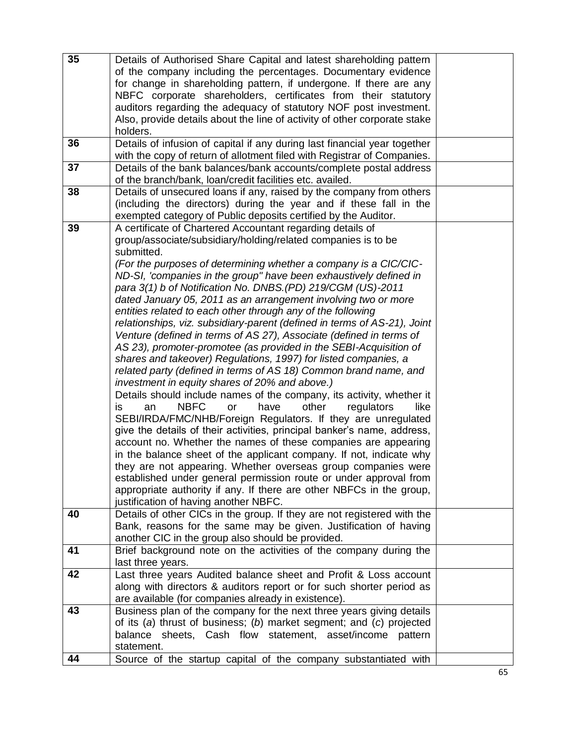| 35 | Details of Authorised Share Capital and latest shareholding pattern<br>of the company including the percentages. Documentary evidence<br>for change in shareholding pattern, if undergone. If there are any<br>NBFC corporate shareholders, certificates from their statutory<br>auditors regarding the adequacy of statutory NOF post investment.                                                                                                                                                                                                                                                                                                                                                                                                                                                                                                                                                                                                                                                                                                                                                                                                                                                                                                                                                                                                                                                                                                                                                                                                                                                        |  |
|----|-----------------------------------------------------------------------------------------------------------------------------------------------------------------------------------------------------------------------------------------------------------------------------------------------------------------------------------------------------------------------------------------------------------------------------------------------------------------------------------------------------------------------------------------------------------------------------------------------------------------------------------------------------------------------------------------------------------------------------------------------------------------------------------------------------------------------------------------------------------------------------------------------------------------------------------------------------------------------------------------------------------------------------------------------------------------------------------------------------------------------------------------------------------------------------------------------------------------------------------------------------------------------------------------------------------------------------------------------------------------------------------------------------------------------------------------------------------------------------------------------------------------------------------------------------------------------------------------------------------|--|
|    | Also, provide details about the line of activity of other corporate stake<br>holders.                                                                                                                                                                                                                                                                                                                                                                                                                                                                                                                                                                                                                                                                                                                                                                                                                                                                                                                                                                                                                                                                                                                                                                                                                                                                                                                                                                                                                                                                                                                     |  |
| 36 | Details of infusion of capital if any during last financial year together<br>with the copy of return of allotment filed with Registrar of Companies.                                                                                                                                                                                                                                                                                                                                                                                                                                                                                                                                                                                                                                                                                                                                                                                                                                                                                                                                                                                                                                                                                                                                                                                                                                                                                                                                                                                                                                                      |  |
| 37 | Details of the bank balances/bank accounts/complete postal address<br>of the branch/bank, loan/credit facilities etc. availed.                                                                                                                                                                                                                                                                                                                                                                                                                                                                                                                                                                                                                                                                                                                                                                                                                                                                                                                                                                                                                                                                                                                                                                                                                                                                                                                                                                                                                                                                            |  |
| 38 | Details of unsecured loans if any, raised by the company from others<br>(including the directors) during the year and if these fall in the<br>exempted category of Public deposits certified by the Auditor.                                                                                                                                                                                                                                                                                                                                                                                                                                                                                                                                                                                                                                                                                                                                                                                                                                                                                                                                                                                                                                                                                                                                                                                                                                                                                                                                                                                              |  |
| 39 | A certificate of Chartered Accountant regarding details of<br>group/associate/subsidiary/holding/related companies is to be<br>submitted.<br>(For the purposes of determining whether a company is a CIC/CIC-<br>ND-SI, 'companies in the group" have been exhaustively defined in<br>para 3(1) b of Notification No. DNBS. (PD) 219/CGM (US)-2011<br>dated January 05, 2011 as an arrangement involving two or more<br>entities related to each other through any of the following<br>relationships, viz. subsidiary-parent (defined in terms of AS-21), Joint<br>Venture (defined in terms of AS 27), Associate (defined in terms of<br>AS 23), promoter-promotee (as provided in the SEBI-Acquisition of<br>shares and takeover) Regulations, 1997) for listed companies, a<br>related party (defined in terms of AS 18) Common brand name, and<br>investment in equity shares of 20% and above.)<br>Details should include names of the company, its activity, whether it<br>other<br><b>NBFC</b><br>have<br>regulators<br>an<br><b>or</b><br>like<br>İS.<br>SEBI/IRDA/FMC/NHB/Foreign Regulators. If they are unregulated<br>give the details of their activities, principal banker's name, address,<br>account no. Whether the names of these companies are appearing<br>in the balance sheet of the applicant company. If not, indicate why<br>they are not appearing. Whether overseas group companies were<br>established under general permission route or under approval from<br>appropriate authority if any. If there are other NBFCs in the group,<br>justification of having another NBFC. |  |
| 40 | Details of other CICs in the group. If they are not registered with the<br>Bank, reasons for the same may be given. Justification of having<br>another CIC in the group also should be provided.                                                                                                                                                                                                                                                                                                                                                                                                                                                                                                                                                                                                                                                                                                                                                                                                                                                                                                                                                                                                                                                                                                                                                                                                                                                                                                                                                                                                          |  |
| 41 | Brief background note on the activities of the company during the<br>last three years.                                                                                                                                                                                                                                                                                                                                                                                                                                                                                                                                                                                                                                                                                                                                                                                                                                                                                                                                                                                                                                                                                                                                                                                                                                                                                                                                                                                                                                                                                                                    |  |
| 42 | Last three years Audited balance sheet and Profit & Loss account<br>along with directors & auditors report or for such shorter period as<br>are available (for companies already in existence).                                                                                                                                                                                                                                                                                                                                                                                                                                                                                                                                                                                                                                                                                                                                                                                                                                                                                                                                                                                                                                                                                                                                                                                                                                                                                                                                                                                                           |  |
| 43 | Business plan of the company for the next three years giving details<br>of its $(a)$ thrust of business; $(b)$ market segment; and $(c)$ projected<br>balance sheets, Cash flow statement, asset/income pattern<br>statement.                                                                                                                                                                                                                                                                                                                                                                                                                                                                                                                                                                                                                                                                                                                                                                                                                                                                                                                                                                                                                                                                                                                                                                                                                                                                                                                                                                             |  |
| 44 | Source of the startup capital of the company substantiated with                                                                                                                                                                                                                                                                                                                                                                                                                                                                                                                                                                                                                                                                                                                                                                                                                                                                                                                                                                                                                                                                                                                                                                                                                                                                                                                                                                                                                                                                                                                                           |  |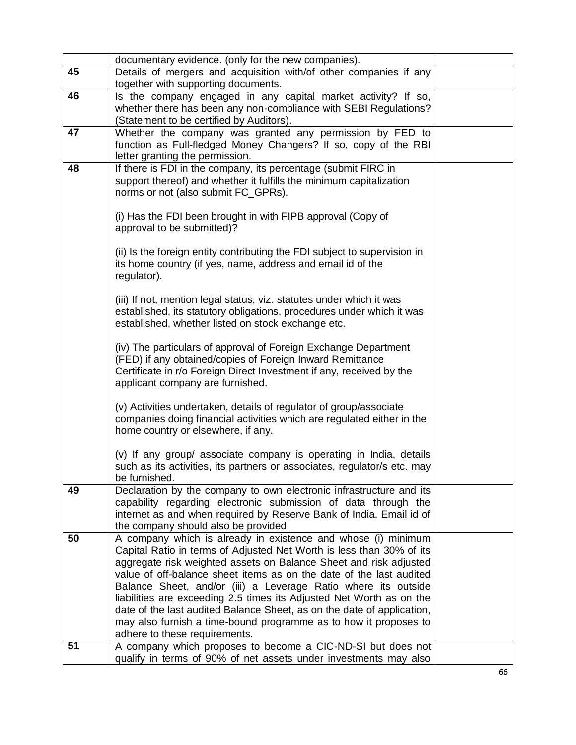|    | documentary evidence. (only for the new companies).                                       |  |
|----|-------------------------------------------------------------------------------------------|--|
| 45 | Details of mergers and acquisition with/of other companies if any                         |  |
|    | together with supporting documents.                                                       |  |
| 46 | Is the company engaged in any capital market activity? If so,                             |  |
|    | whether there has been any non-compliance with SEBI Regulations?                          |  |
|    | (Statement to be certified by Auditors).                                                  |  |
| 47 | Whether the company was granted any permission by FED to                                  |  |
|    | function as Full-fledged Money Changers? If so, copy of the RBI                           |  |
|    | letter granting the permission.                                                           |  |
| 48 | If there is FDI in the company, its percentage (submit FIRC in                            |  |
|    | support thereof) and whether it fulfills the minimum capitalization                       |  |
|    | norms or not (also submit FC_GPRs).                                                       |  |
|    |                                                                                           |  |
|    | (i) Has the FDI been brought in with FIPB approval (Copy of                               |  |
|    | approval to be submitted)?                                                                |  |
|    |                                                                                           |  |
|    | (ii) Is the foreign entity contributing the FDI subject to supervision in                 |  |
|    | its home country (if yes, name, address and email id of the                               |  |
|    | regulator).                                                                               |  |
|    | (iii) If not, mention legal status, viz. statutes under which it was                      |  |
|    | established, its statutory obligations, procedures under which it was                     |  |
|    | established, whether listed on stock exchange etc.                                        |  |
|    |                                                                                           |  |
|    | (iv) The particulars of approval of Foreign Exchange Department                           |  |
|    | (FED) if any obtained/copies of Foreign Inward Remittance                                 |  |
|    | Certificate in r/o Foreign Direct Investment if any, received by the                      |  |
|    | applicant company are furnished.                                                          |  |
|    |                                                                                           |  |
|    | (v) Activities undertaken, details of regulator of group/associate                        |  |
|    | companies doing financial activities which are regulated either in the                    |  |
|    | home country or elsewhere, if any.                                                        |  |
|    |                                                                                           |  |
|    | (v) If any group/ associate company is operating in India, details                        |  |
|    | such as its activities, its partners or associates, regulator/s etc. may<br>be furnished. |  |
| 49 | Declaration by the company to own electronic infrastructure and its                       |  |
|    | capability regarding electronic submission of data through the                            |  |
|    | internet as and when required by Reserve Bank of India. Email id of                       |  |
|    | the company should also be provided.                                                      |  |
| 50 | A company which is already in existence and whose (i) minimum                             |  |
|    | Capital Ratio in terms of Adjusted Net Worth is less than 30% of its                      |  |
|    | aggregate risk weighted assets on Balance Sheet and risk adjusted                         |  |
|    | value of off-balance sheet items as on the date of the last audited                       |  |
|    | Balance Sheet, and/or (iii) a Leverage Ratio where its outside                            |  |
|    | liabilities are exceeding 2.5 times its Adjusted Net Worth as on the                      |  |
|    | date of the last audited Balance Sheet, as on the date of application,                    |  |
|    | may also furnish a time-bound programme as to how it proposes to                          |  |
|    | adhere to these requirements.                                                             |  |
| 51 | A company which proposes to become a CIC-ND-SI but does not                               |  |
|    | qualify in terms of 90% of net assets under investments may also                          |  |